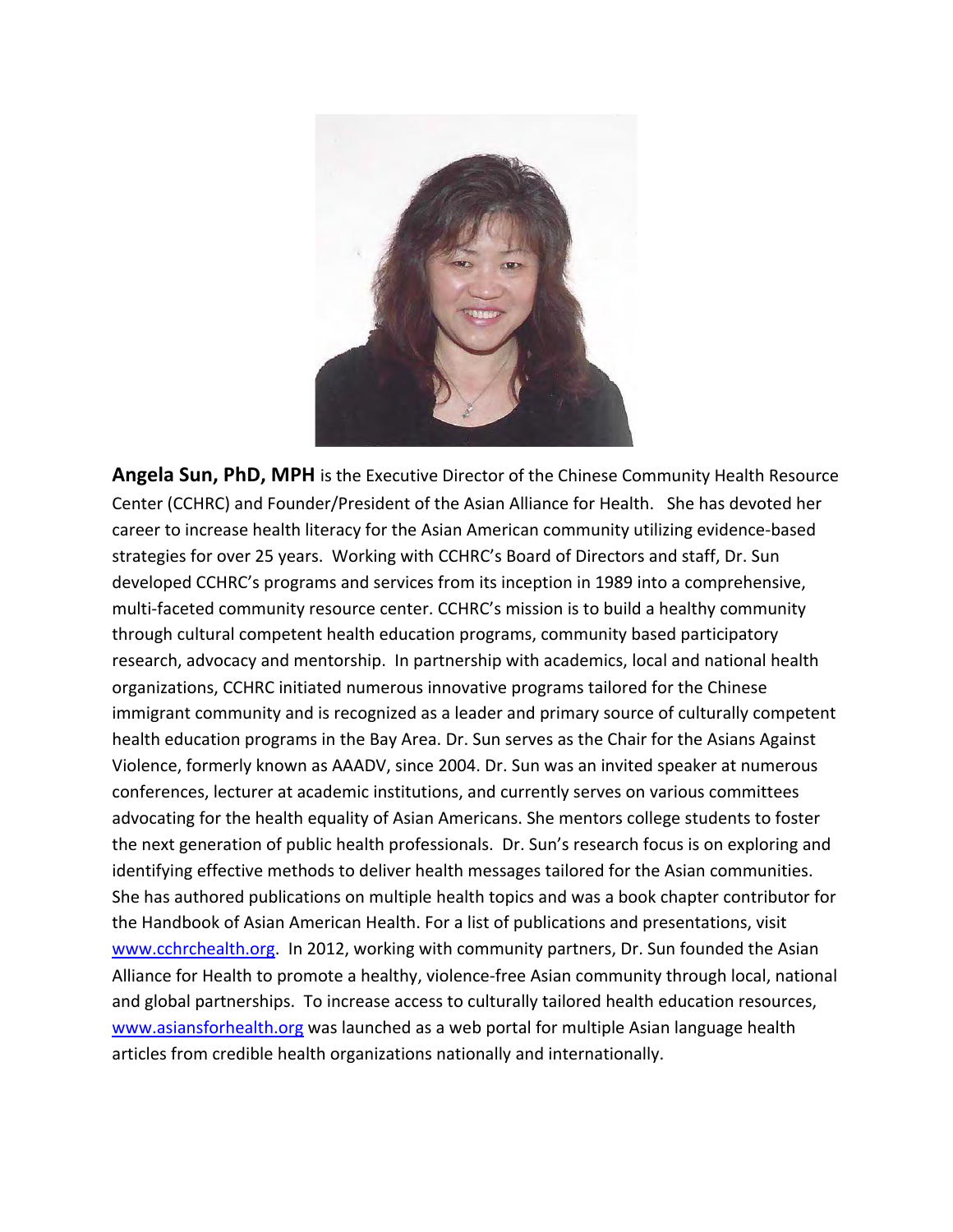

**Angela Sun, PhD, MPH** is the Executive Director of the Chinese Community Health Resource Center (CCHRC) and Founder/President of the Asian Alliance for Health. She has devoted her career to increase health literacy for the Asian American community utilizing evidence-based strategies for over 25 years. Working with CCHRC's Board of Directors and staff, Dr. Sun developed CCHRC's programs and services from its inception in 1989 into a comprehensive, multi-faceted community resource center. CCHRC's mission is to build a healthy community through cultural competent health education programs, community based participatory research, advocacy and mentorship. In partnership with academics, local and national health organizations, CCHRC initiated numerous innovative programs tailored for the Chinese immigrant community and is recognized as a leader and primary source of culturally competent health education programs in the Bay Area. Dr. Sun serves as the Chair for the Asians Against Violence, formerly known as AAADV, since 2004. Dr. Sun was an invited speaker at numerous conferences, lecturer at academic institutions, and currently serves on various committees advocating for the health equality of Asian Americans. She mentors college students to foster the next generation of public health professionals. Dr. Sun's research focus is on exploring and identifying effective methods to deliver health messages tailored for the Asian communities. She has authored publications on multiple health topics and was a book chapter contributor for the Handbook of Asian American Health. For a list of publications and presentations, visit www.cchrchealth.org. In 2012, working with community partners, Dr. Sun founded the Asian Alliance for Health to promote a healthy, violence-free Asian community through local, national and global partnerships. To increase access to culturally tailored health education resources, www.asiansforhealth.org was launched as a web portal for multiple Asian language health articles from credible health organizations nationally and internationally.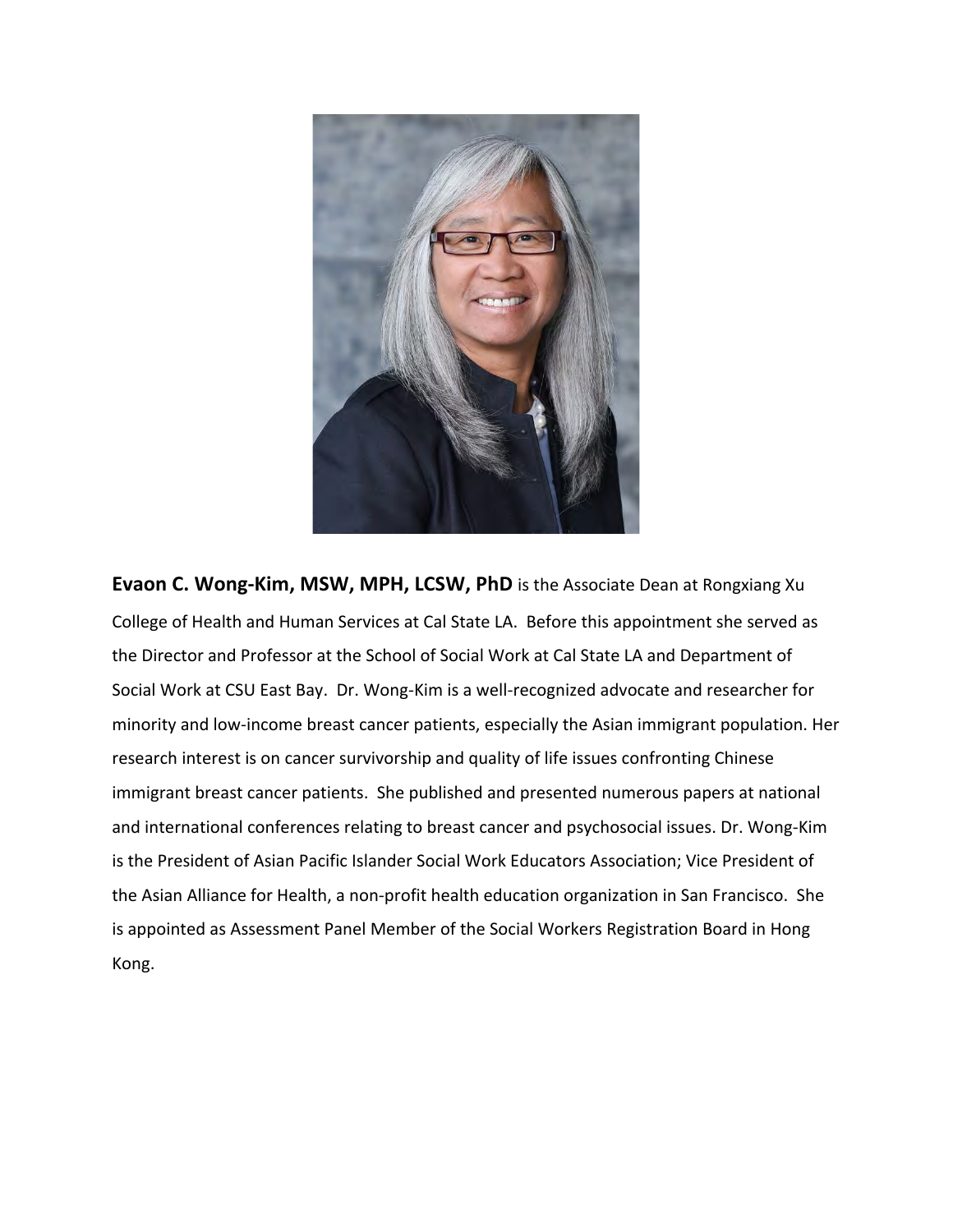

**Evaon C. Wong-Kim, MSW, MPH, LCSW, PhD** is the Associate Dean at Rongxiang Xu College of Health and Human Services at Cal State LA. Before this appointment she served as the Director and Professor at the School of Social Work at Cal State LA and Department of Social Work at CSU East Bay. Dr. Wong-Kim is a well-recognized advocate and researcher for minority and low-income breast cancer patients, especially the Asian immigrant population. Her research interest is on cancer survivorship and quality of life issues confronting Chinese immigrant breast cancer patients. She published and presented numerous papers at national and international conferences relating to breast cancer and psychosocial issues. Dr. Wong-Kim is the President of Asian Pacific Islander Social Work Educators Association; Vice President of the Asian Alliance for Health, a non-profit health education organization in San Francisco. She is appointed as Assessment Panel Member of the Social Workers Registration Board in Hong Kong.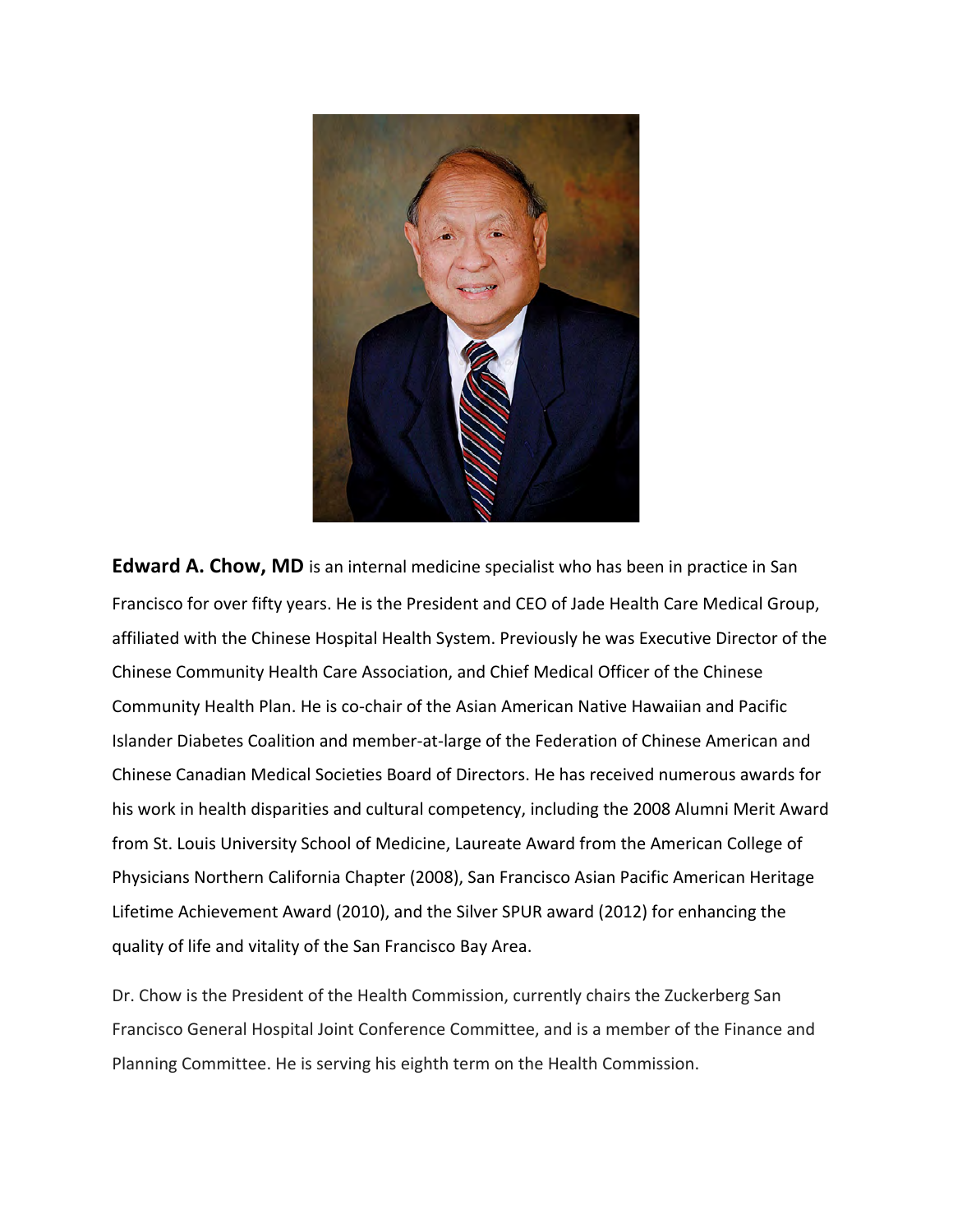

**Edward A. Chow, MD** is an internal medicine specialist who has been in practice in San Francisco for over fifty years. He is the President and CEO of Jade Health Care Medical Group, affiliated with the Chinese Hospital Health System. Previously he was Executive Director of the Chinese Community Health Care Association, and Chief Medical Officer of the Chinese Community Health Plan. He is co-chair of the Asian American Native Hawaiian and Pacific Islander Diabetes Coalition and member-at-large of the Federation of Chinese American and Chinese Canadian Medical Societies Board of Directors. He has received numerous awards for his work in health disparities and cultural competency, including the 2008 Alumni Merit Award from St. Louis University School of Medicine, Laureate Award from the American College of Physicians Northern California Chapter (2008), San Francisco Asian Pacific American Heritage Lifetime Achievement Award (2010), and the Silver SPUR award (2012) for enhancing the quality of life and vitality of the San Francisco Bay Area.

Dr. Chow is the President of the Health Commission, currently chairs the Zuckerberg San Francisco General Hospital Joint Conference Committee, and is a member of the Finance and Planning Committee. He is serving his eighth term on the Health Commission.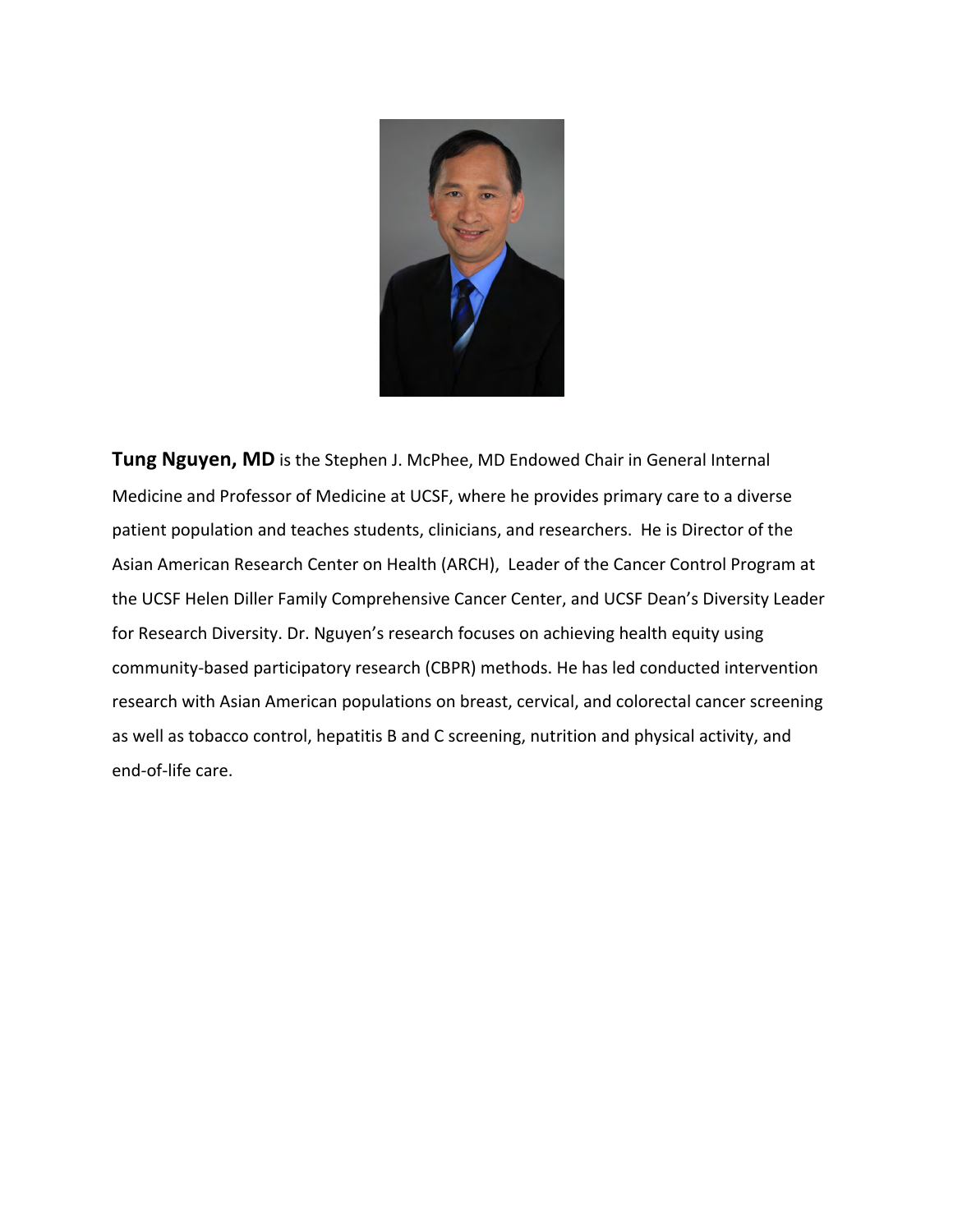

**Tung Nguyen, MD** is the Stephen J. McPhee, MD Endowed Chair in General Internal Medicine and Professor of Medicine at UCSF, where he provides primary care to a diverse patient population and teaches students, clinicians, and researchers. He is Director of the Asian American Research Center on Health (ARCH), Leader of the Cancer Control Program at the UCSF Helen Diller Family Comprehensive Cancer Center, and UCSF Dean's Diversity Leader for Research Diversity. Dr. Nguyen's research focuses on achieving health equity using community-based participatory research (CBPR) methods. He has led conducted intervention research with Asian American populations on breast, cervical, and colorectal cancer screening as well as tobacco control, hepatitis B and C screening, nutrition and physical activity, and end-of-life care.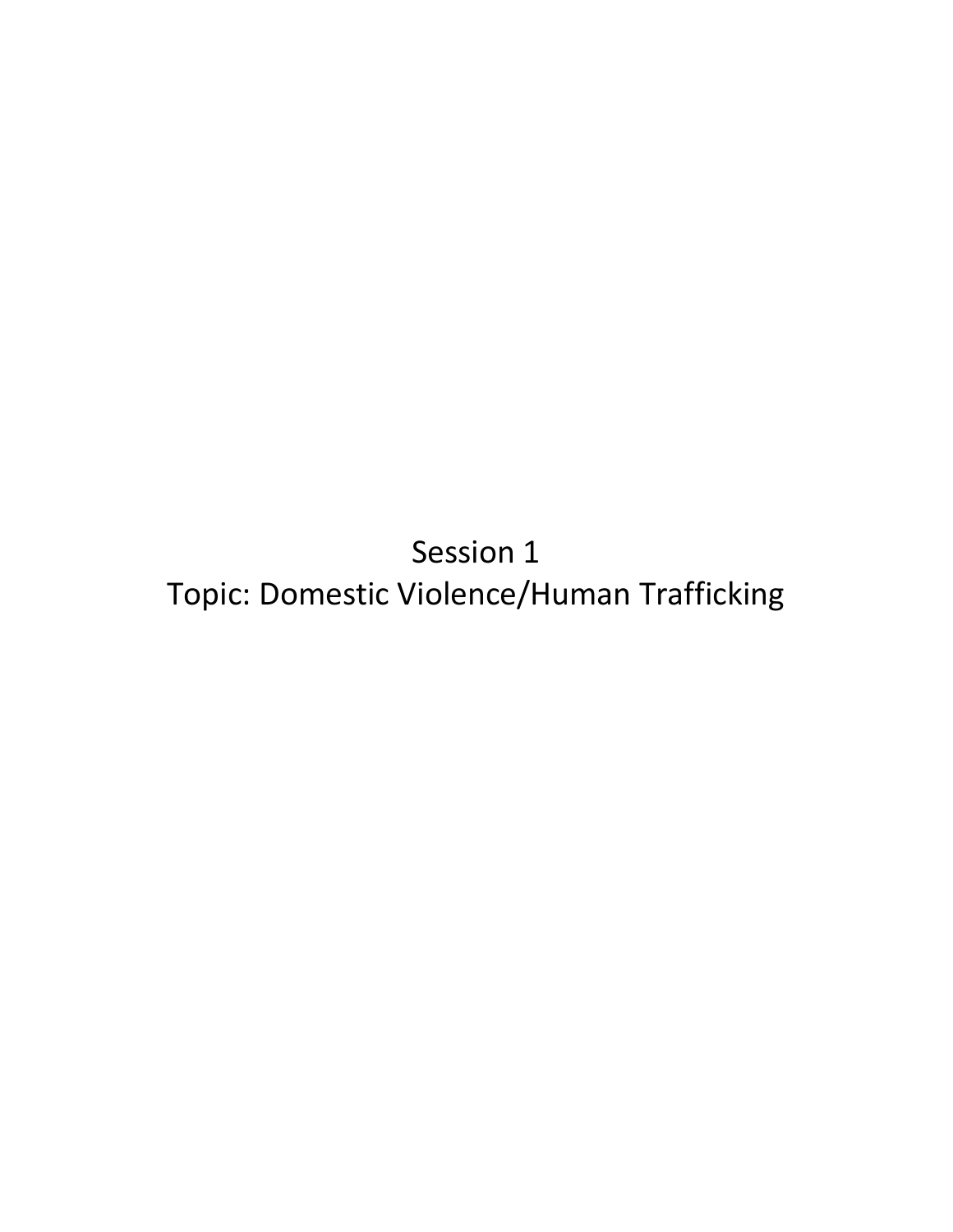Session 1 Topic: Domestic Violence/Human Trafficking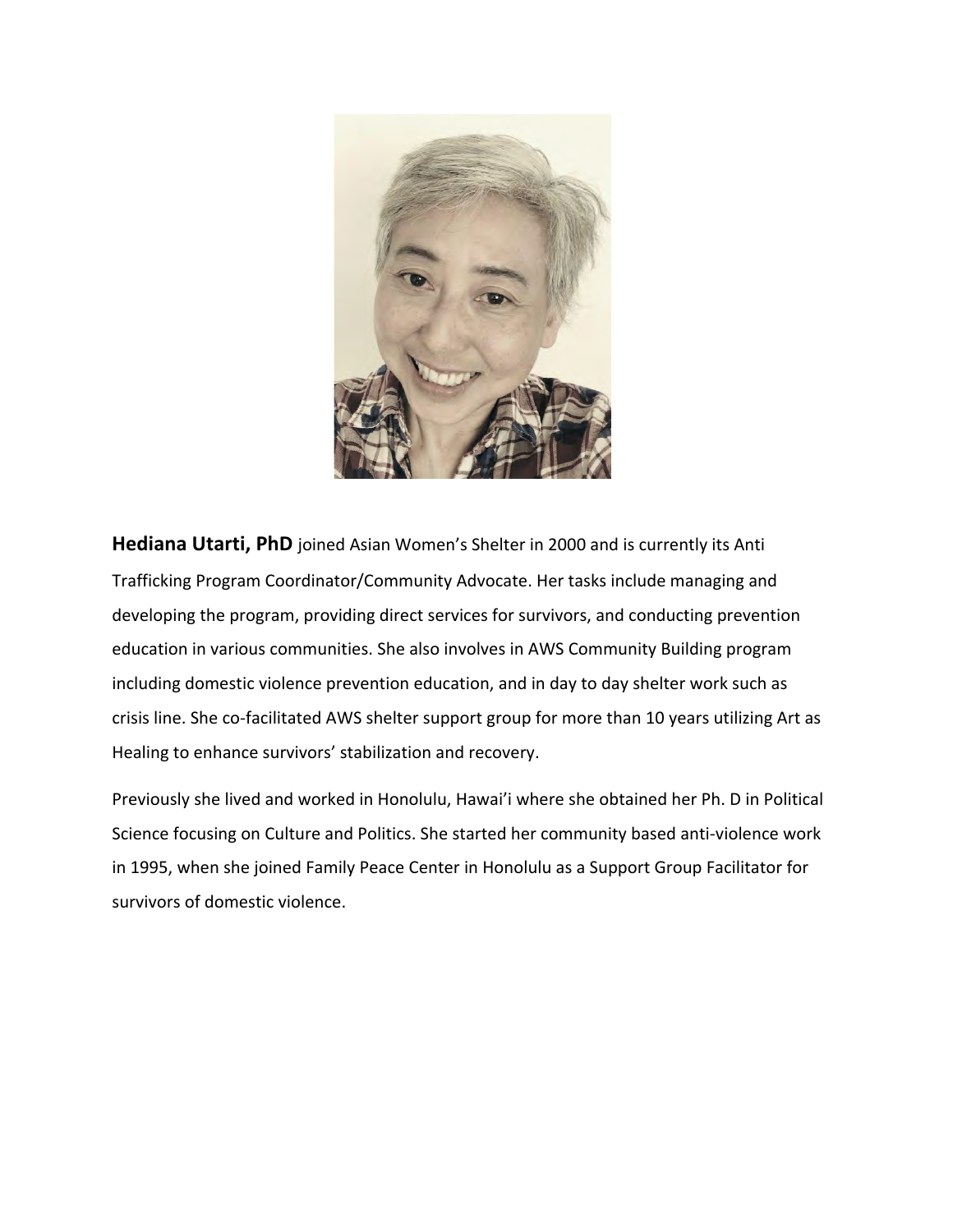

**Hediana Utarti, PhD** joined Asian Women's Shelter in 2000 and is currently its Anti Trafficking Program Coordinator/Community Advocate. Her tasks include managing and developing the program, providing direct services for survivors, and conducting prevention education in various communities. She also involves in AWS Community Building program including domestic violence prevention education, and in day to day shelter work such as crisis line. She co-facilitated AWS shelter support group for more than 10 years utilizing Art as Healing to enhance survivors' stabilization and recovery.

Previously she lived and worked in Honolulu, Hawai'i where she obtained her Ph. D in Political Science focusing on Culture and Politics. She started her community based anti-violence work in 1995, when she joined Family Peace Center in Honolulu as a Support Group Facilitator for survivors of domestic violence.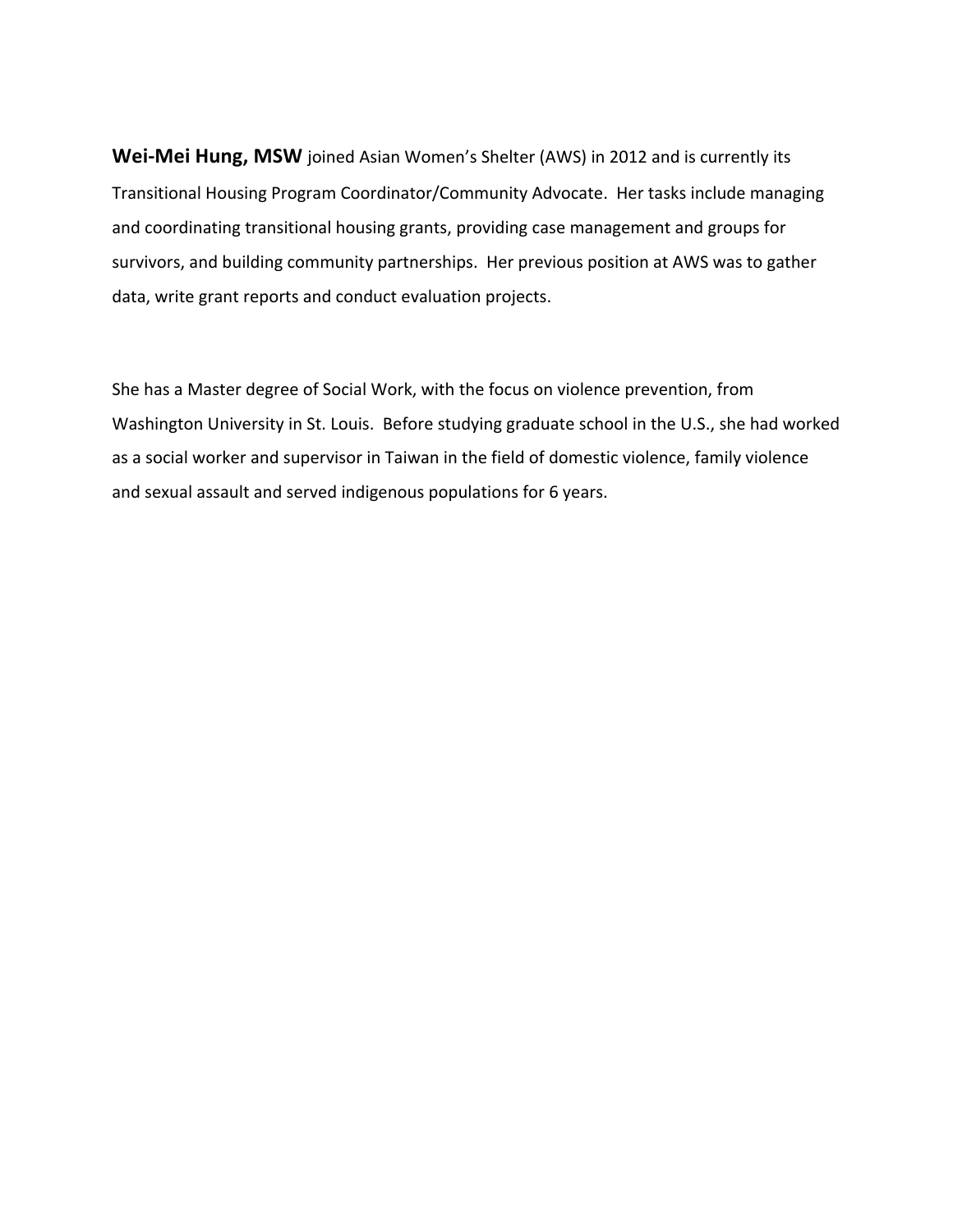**Wei-Mei Hung, MSW** joined Asian Women's Shelter (AWS) in 2012 and is currently its Transitional Housing Program Coordinator/Community Advocate. Her tasks include managing and coordinating transitional housing grants, providing case management and groups for survivors, and building community partnerships. Her previous position at AWS was to gather data, write grant reports and conduct evaluation projects.

She has a Master degree of Social Work, with the focus on violence prevention, from Washington University in St. Louis. Before studying graduate school in the U.S., she had worked as a social worker and supervisor in Taiwan in the field of domestic violence, family violence and sexual assault and served indigenous populations for 6 years.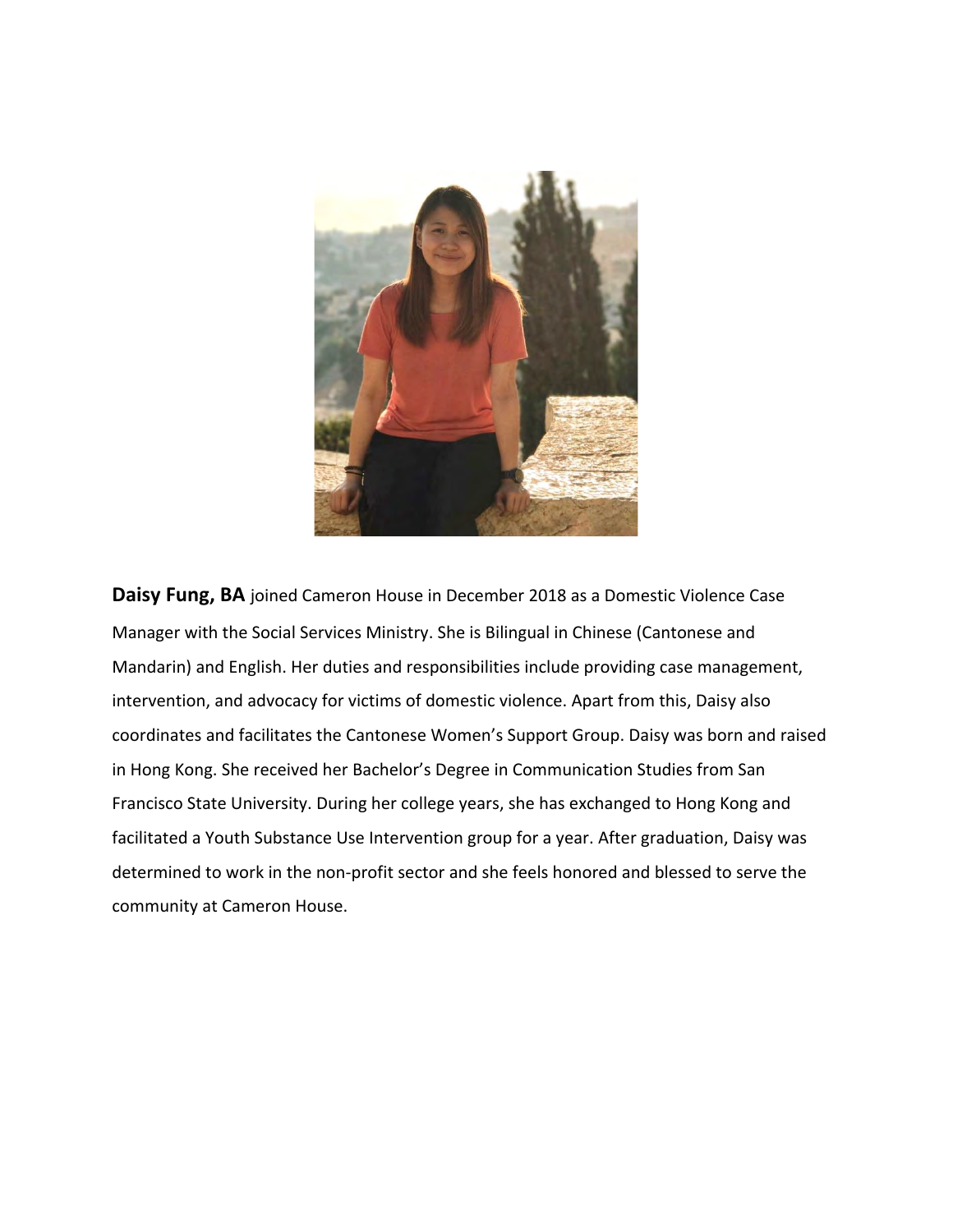

**Daisy Fung, BA** joined Cameron House in December 2018 as a Domestic Violence Case Manager with the Social Services Ministry. She is Bilingual in Chinese (Cantonese and Mandarin) and English. Her duties and responsibilities include providing case management, intervention, and advocacy for victims of domestic violence. Apart from this, Daisy also coordinates and facilitates the Cantonese Women's Support Group. Daisy was born and raised in Hong Kong. She received her Bachelor's Degree in Communication Studies from San Francisco State University. During her college years, she has exchanged to Hong Kong and facilitated a Youth Substance Use Intervention group for a year. After graduation, Daisy was determined to work in the non-profit sector and she feels honored and blessed to serve the community at Cameron House.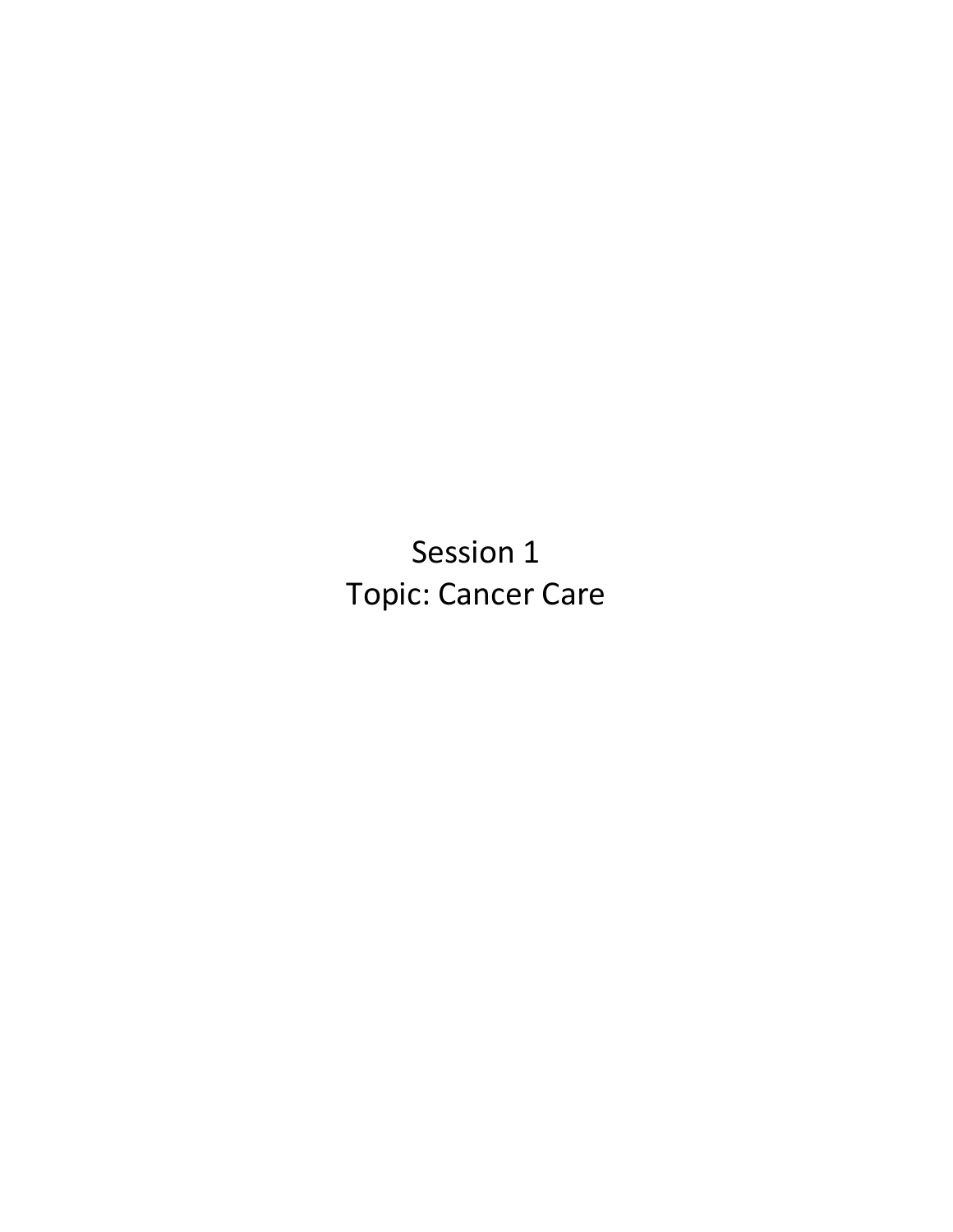Session 1 Topic: Cancer Care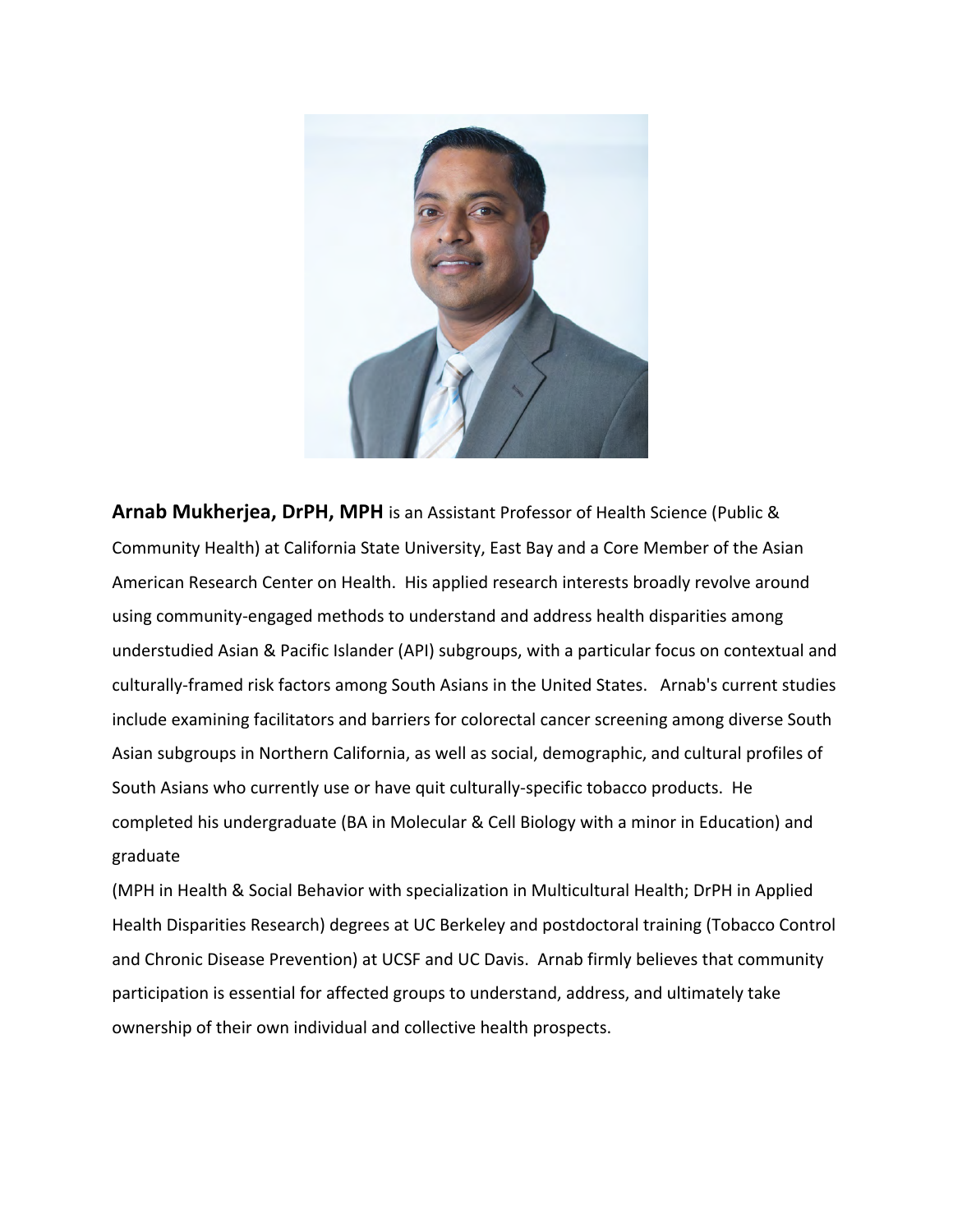

**Arnab Mukherjea, DrPH, MPH** is an Assistant Professor of Health Science (Public & Community Health) at California State University, East Bay and a Core Member of the Asian American Research Center on Health. His applied research interests broadly revolve around using community-engaged methods to understand and address health disparities among understudied Asian & Pacific Islander (API) subgroups, with a particular focus on contextual and culturally-framed risk factors among South Asians in the United States. Arnab's current studies include examining facilitators and barriers for colorectal cancer screening among diverse South Asian subgroups in Northern California, as well as social, demographic, and cultural profiles of South Asians who currently use or have quit culturally-specific tobacco products. He completed his undergraduate (BA in Molecular & Cell Biology with a minor in Education) and graduate

(MPH in Health & Social Behavior with specialization in Multicultural Health; DrPH in Applied Health Disparities Research) degrees at UC Berkeley and postdoctoral training (Tobacco Control and Chronic Disease Prevention) at UCSF and UC Davis. Arnab firmly believes that community participation is essential for affected groups to understand, address, and ultimately take ownership of their own individual and collective health prospects.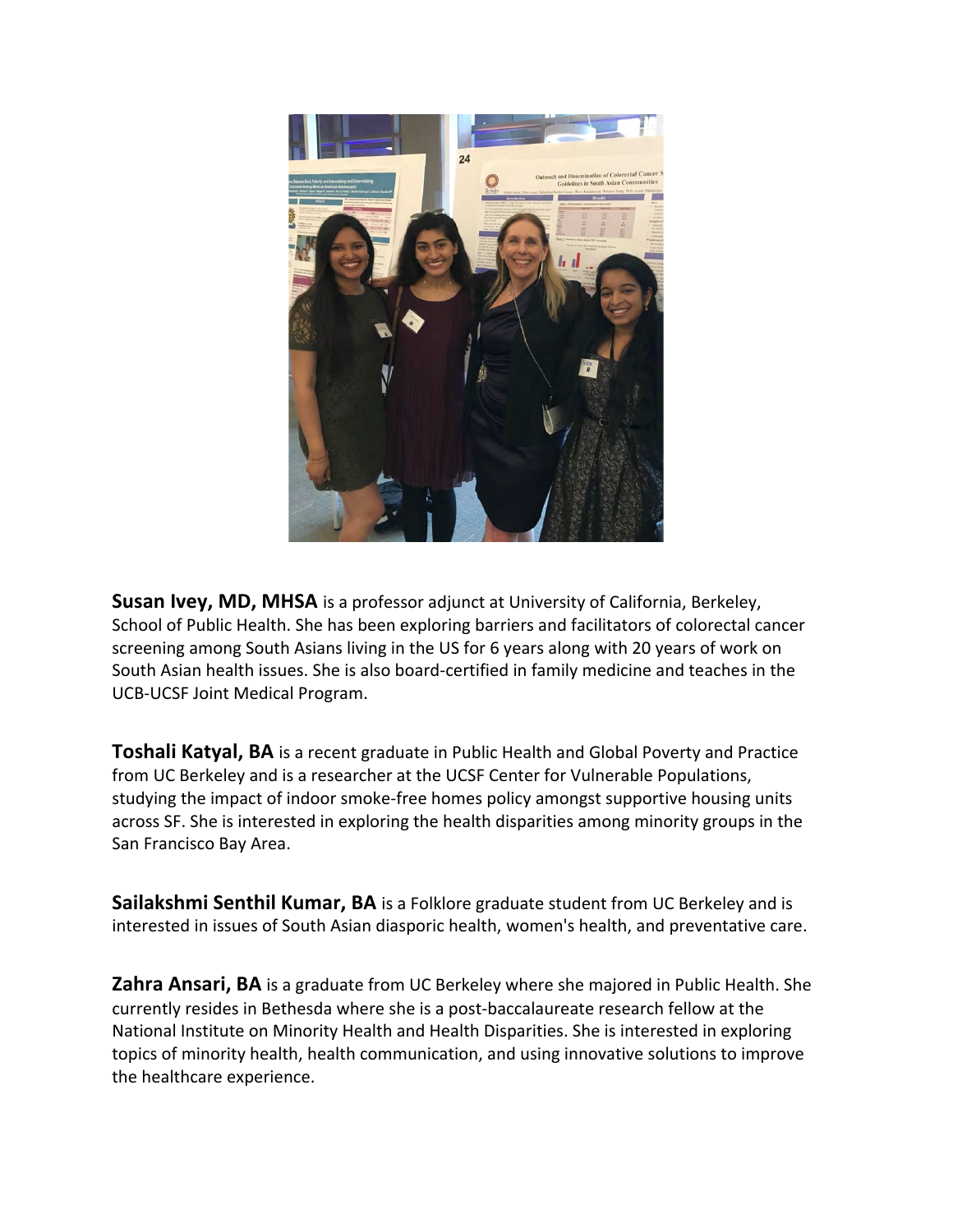

**Susan Ivey, MD, MHSA** is a professor adjunct at University of California, Berkeley, School of Public Health. She has been exploring barriers and facilitators of colorectal cancer screening among South Asians living in the US for 6 years along with 20 years of work on South Asian health issues. She is also board-certified in family medicine and teaches in the UCB-UCSF Joint Medical Program.

**Toshali Katyal, BA** is a recent graduate in Public Health and Global Poverty and Practice from UC Berkeley and is a researcher at the UCSF Center for Vulnerable Populations, studying the impact of indoor smoke-free homes policy amongst supportive housing units across SF. She is interested in exploring the health disparities among minority groups in the San Francisco Bay Area.

**Sailakshmi Senthil Kumar, BA** is a Folklore graduate student from UC Berkeley and is interested in issues of South Asian diasporic health, women's health, and preventative care.

**Zahra Ansari, BA** is a graduate from UC Berkeley where she majored in Public Health. She currently resides in Bethesda where she is a post-baccalaureate research fellow at the National Institute on Minority Health and Health Disparities. She is interested in exploring topics of minority health, health communication, and using innovative solutions to improve the healthcare experience.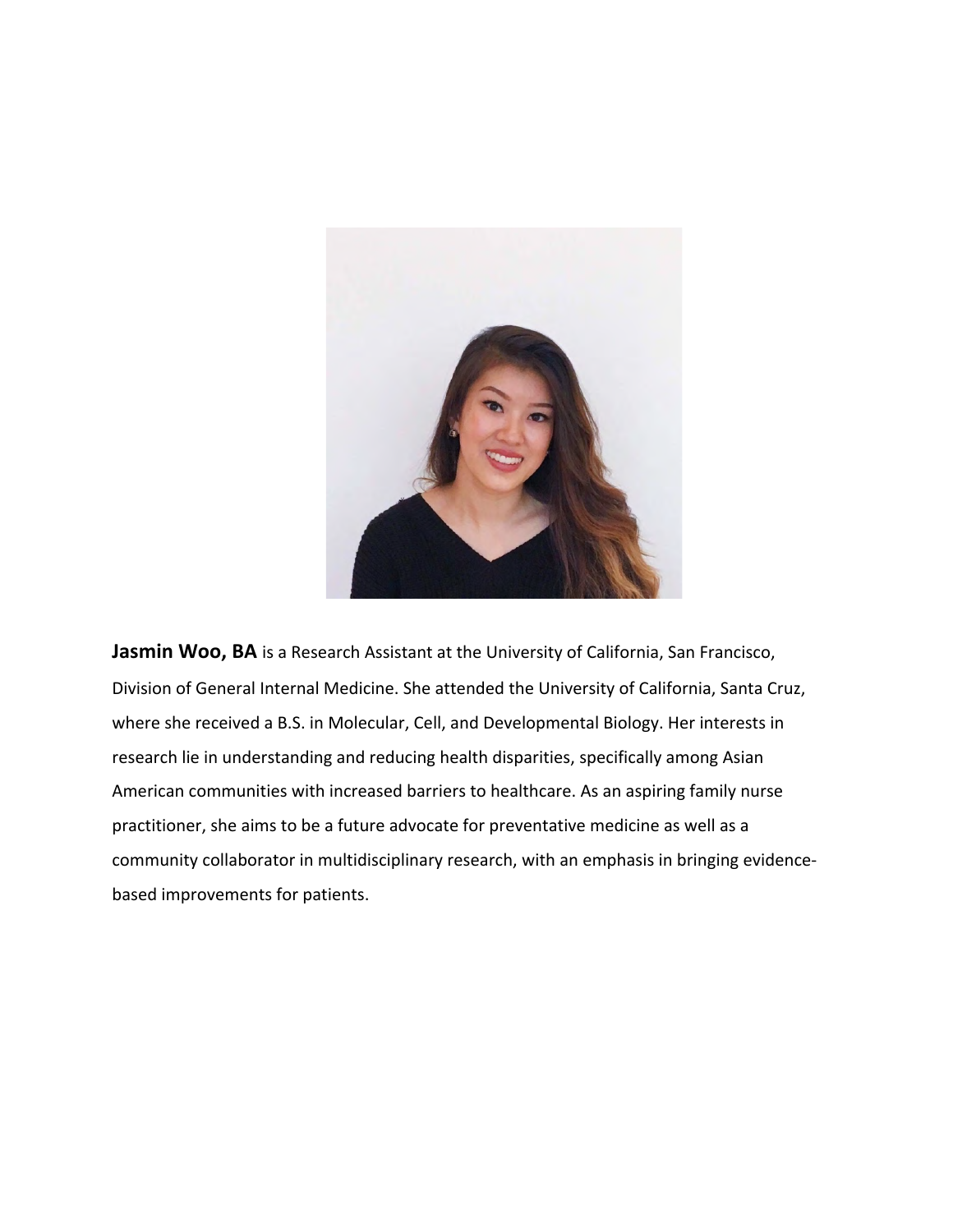

**Jasmin Woo, BA** is a Research Assistant at the University of California, San Francisco, Division of General Internal Medicine. She attended the University of California, Santa Cruz, where she received a B.S. in Molecular, Cell, and Developmental Biology. Her interests in research lie in understanding and reducing health disparities, specifically among Asian American communities with increased barriers to healthcare. As an aspiring family nurse practitioner, she aims to be a future advocate for preventative medicine as well as a community collaborator in multidisciplinary research, with an emphasis in bringing evidencebased improvements for patients.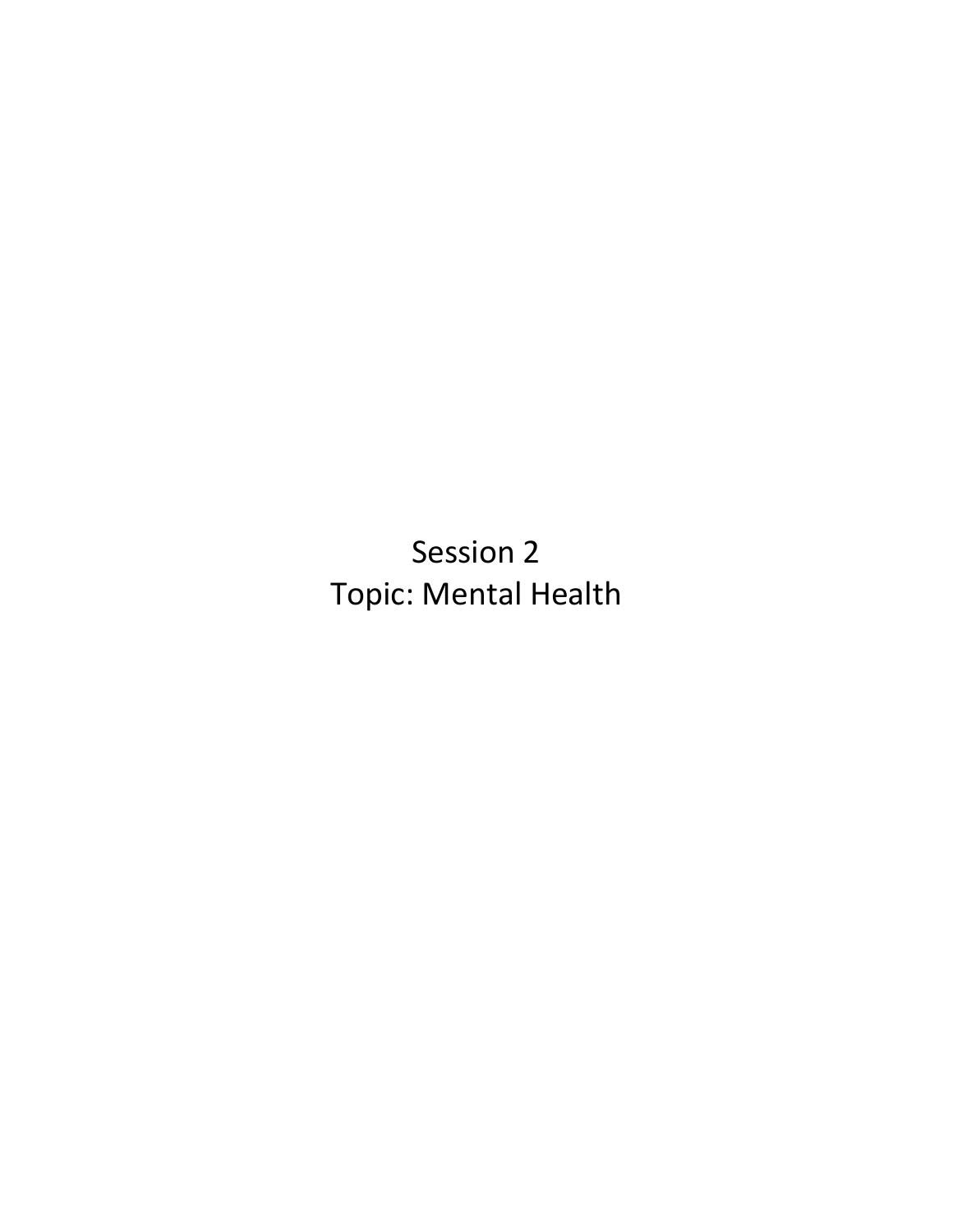Session 2 Topic: Mental Health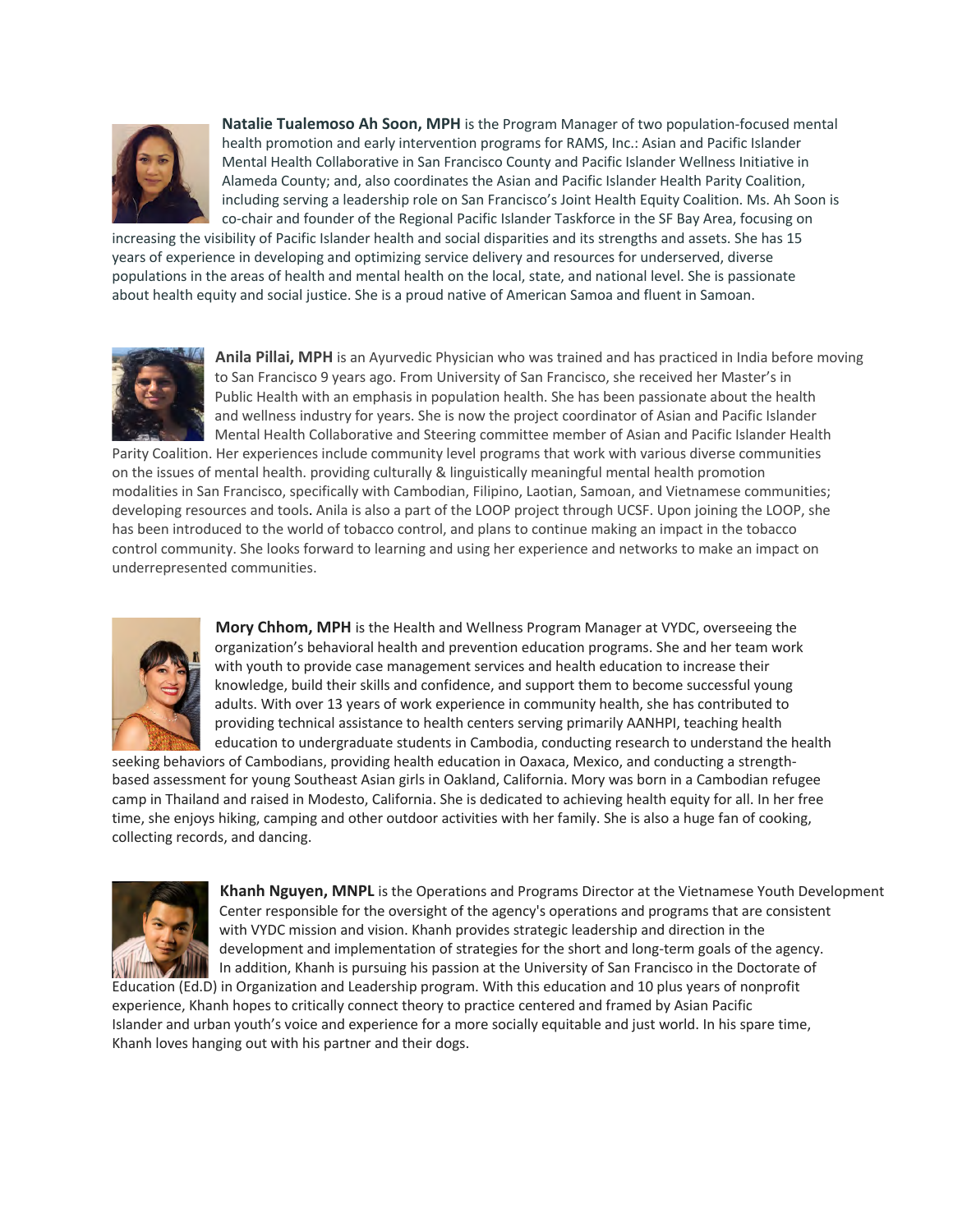

**Natalie Tualemoso Ah Soon, MPH** is the Program Manager of two population-focused mental health promotion and early intervention programs for RAMS, Inc.: Asian and Pacific Islander Mental Health Collaborative in San Francisco County and Pacific Islander Wellness Initiative in Alameda County; and, also coordinates the Asian and Pacific Islander Health Parity Coalition, including serving a leadership role on San Francisco's Joint Health Equity Coalition. Ms. Ah Soon is co-chair and founder of the Regional Pacific Islander Taskforce in the SF Bay Area, focusing on

increasing the visibility of Pacific Islander health and social disparities and its strengths and assets. She has 15 years of experience in developing and optimizing service delivery and resources for underserved, diverse populations in the areas of health and mental health on the local, state, and national level. She is passionate about health equity and social justice. She is a proud native of American Samoa and fluent in Samoan.



**Anila Pillai, MPH** is an Ayurvedic Physician who was trained and has practiced in India before moving to San Francisco 9 years ago. From University of San Francisco, she received her Master's in Public Health with an emphasis in population health. She has been passionate about the health and wellness industry for years. She is now the project coordinator of Asian and Pacific Islander Mental Health Collaborative and Steering committee member of Asian and Pacific Islander Health

Parity Coalition. Her experiences include community level programs that work with various diverse communities on the issues of mental health. providing culturally & linguistically meaningful mental health promotion modalities in San Francisco, specifically with Cambodian, Filipino, Laotian, Samoan, and Vietnamese communities; developing resources and tools. Anila is also a part of the LOOP project through UCSF. Upon joining the LOOP, she has been introduced to the world of tobacco control, and plans to continue making an impact in the tobacco control community. She looks forward to learning and using her experience and networks to make an impact on underrepresented communities.



**Mory Chhom, MPH** is the Health and Wellness Program Manager at VYDC, overseeing the organization's behavioral health and prevention education programs. She and her team work with youth to provide case management services and health education to increase their knowledge, build their skills and confidence, and support them to become successful young adults. With over 13 years of work experience in community health, she has contributed to providing technical assistance to health centers serving primarily AANHPI, teaching health education to undergraduate students in Cambodia, conducting research to understand the health

seeking behaviors of Cambodians, providing health education in Oaxaca, Mexico, and conducting a strengthbased assessment for young Southeast Asian girls in Oakland, California. Mory was born in a Cambodian refugee camp in Thailand and raised in Modesto, California. She is dedicated to achieving health equity for all. In her free time, she enjoys hiking, camping and other outdoor activities with her family. She is also a huge fan of cooking, collecting records, and dancing.



**Khanh Nguyen, MNPL** is the Operations and Programs Director at the Vietnamese Youth Development Center responsible for the oversight of the agency's operations and programs that are consistent with VYDC mission and vision. Khanh provides strategic leadership and direction in the development and implementation of strategies for the short and long-term goals of the agency. In addition, Khanh is pursuing his passion at the University of San Francisco in the Doctorate of Education (Ed.D) in Organization and Leadership program. With this education and 10 plus years of nonprofit

experience, Khanh hopes to critically connect theory to practice centered and framed by Asian Pacific Islander and urban youth's voice and experience for a more socially equitable and just world. In his spare time, Khanh loves hanging out with his partner and their dogs.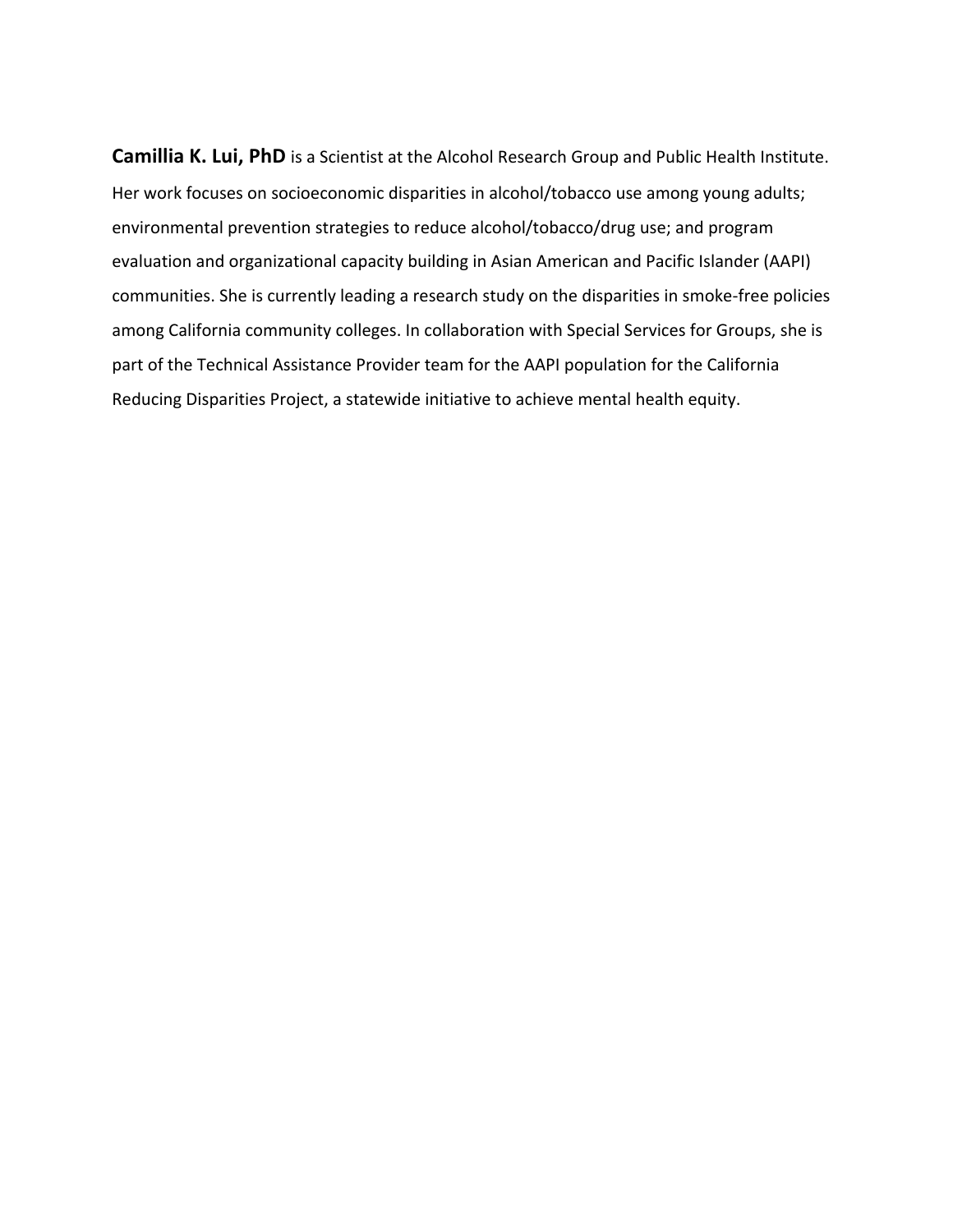**Camillia K. Lui, PhD** is a Scientist at the Alcohol Research Group and Public Health Institute. Her work focuses on socioeconomic disparities in alcohol/tobacco use among young adults; environmental prevention strategies to reduce alcohol/tobacco/drug use; and program evaluation and organizational capacity building in Asian American and Pacific Islander (AAPI) communities. She is currently leading a research study on the disparities in smoke-free policies among California community colleges. In collaboration with Special Services for Groups, she is part of the Technical Assistance Provider team for the AAPI population for the California Reducing Disparities Project, a statewide initiative to achieve mental health equity.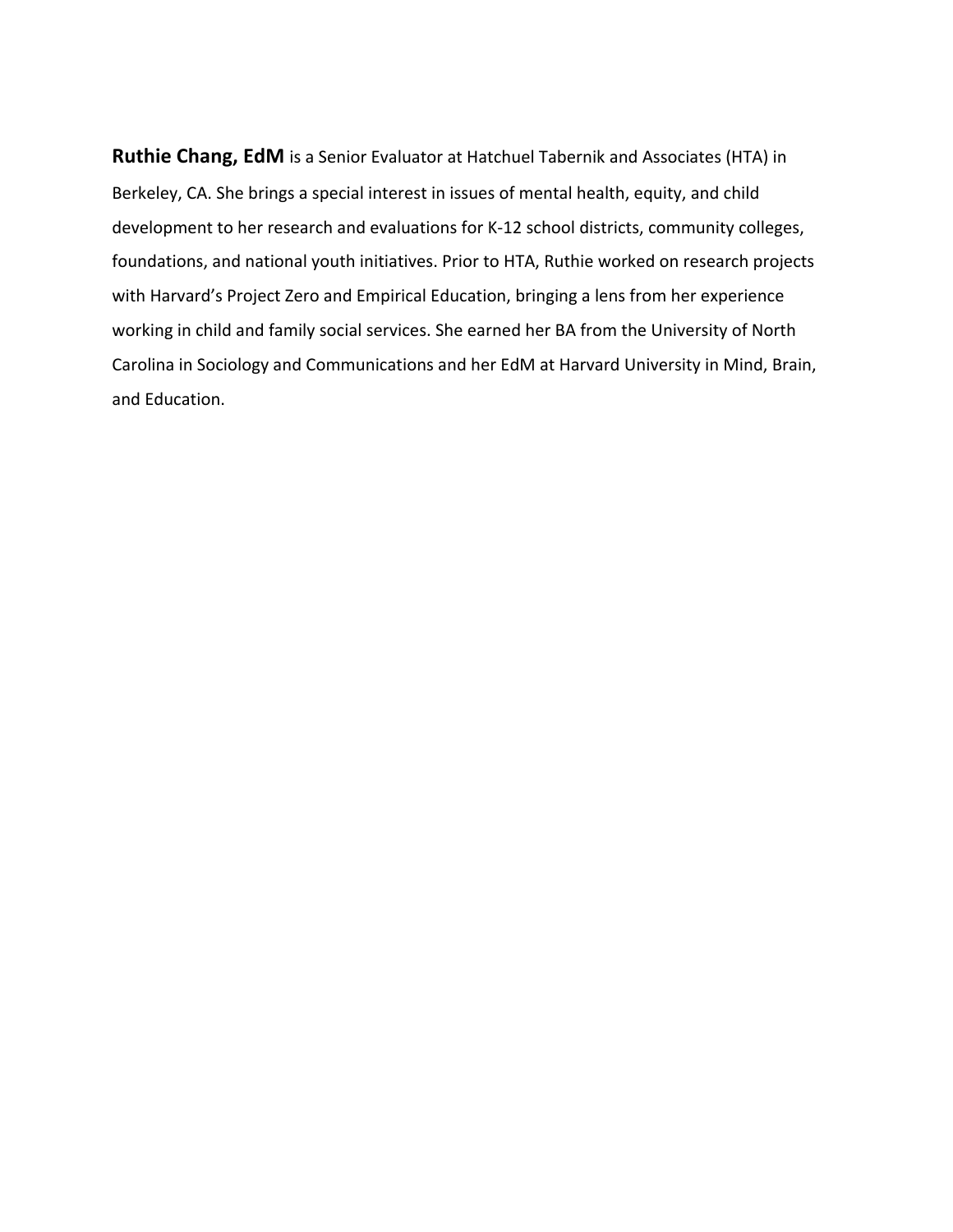**Ruthie Chang, EdM** is a Senior Evaluator at Hatchuel Tabernik and Associates (HTA) in Berkeley, CA. She brings a special interest in issues of mental health, equity, and child development to her research and evaluations for K-12 school districts, community colleges, foundations, and national youth initiatives. Prior to HTA, Ruthie worked on research projects with Harvard's Project Zero and Empirical Education, bringing a lens from her experience working in child and family social services. She earned her BA from the University of North Carolina in Sociology and Communications and her EdM at Harvard University in Mind, Brain, and Education.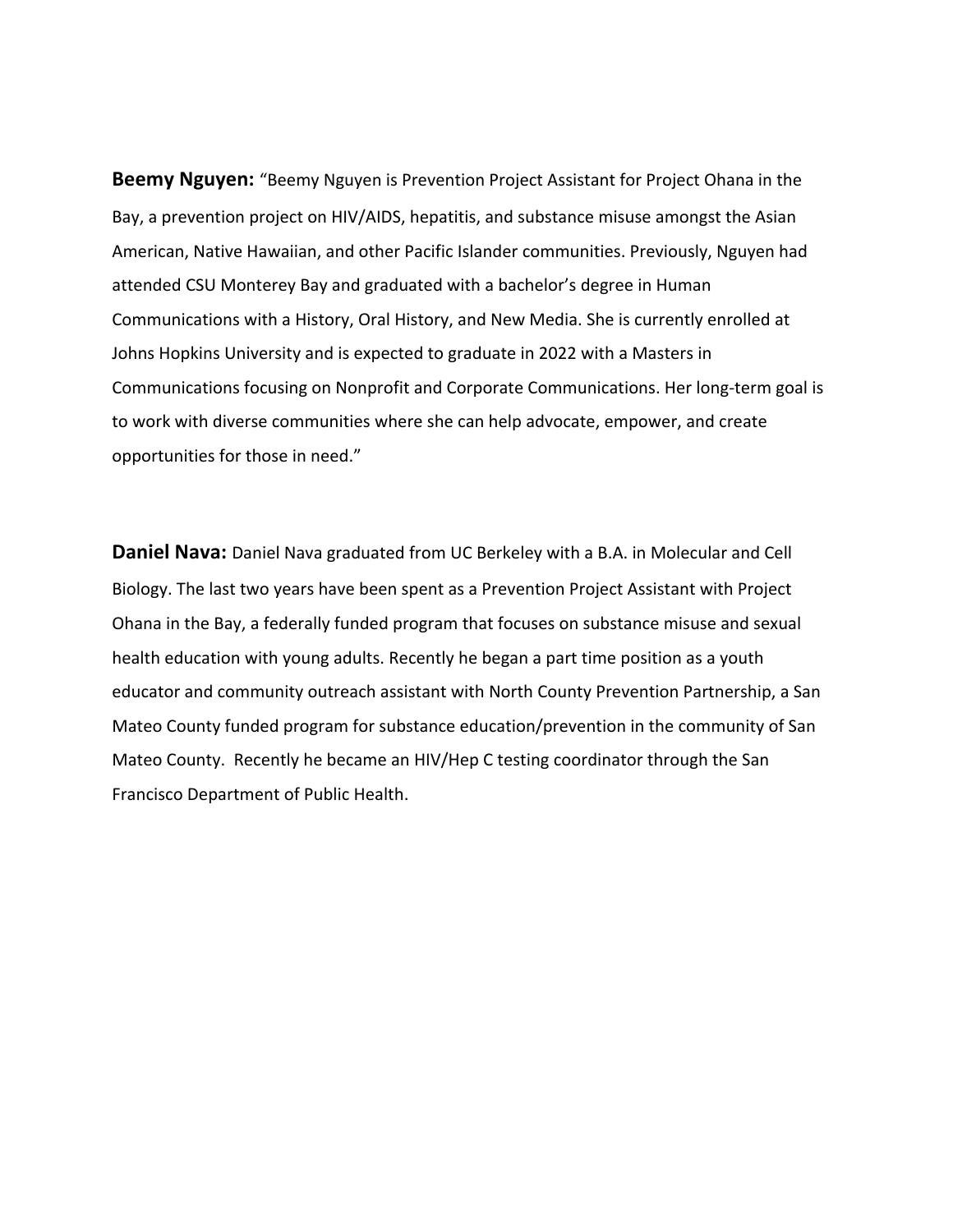**Beemy Nguyen:** "Beemy Nguyen is Prevention Project Assistant for Project Ohana in the Bay, a prevention project on HIV/AIDS, hepatitis, and substance misuse amongst the Asian American, Native Hawaiian, and other Pacific Islander communities. Previously, Nguyen had attended CSU Monterey Bay and graduated with a bachelor's degree in Human Communications with a History, Oral History, and New Media. She is currently enrolled at Johns Hopkins University and is expected to graduate in 2022 with a Masters in Communications focusing on Nonprofit and Corporate Communications. Her long-term goal is to work with diverse communities where she can help advocate, empower, and create opportunities for those in need."

**Daniel Nava:** Daniel Nava graduated from UC Berkeley with a B.A. in Molecular and Cell Biology. The last two years have been spent as a Prevention Project Assistant with Project Ohana in the Bay, a federally funded program that focuses on substance misuse and sexual health education with young adults. Recently he began a part time position as a youth educator and community outreach assistant with North County Prevention Partnership, a San Mateo County funded program for substance education/prevention in the community of San Mateo County. Recently he became an HIV/Hep C testing coordinator through the San Francisco Department of Public Health.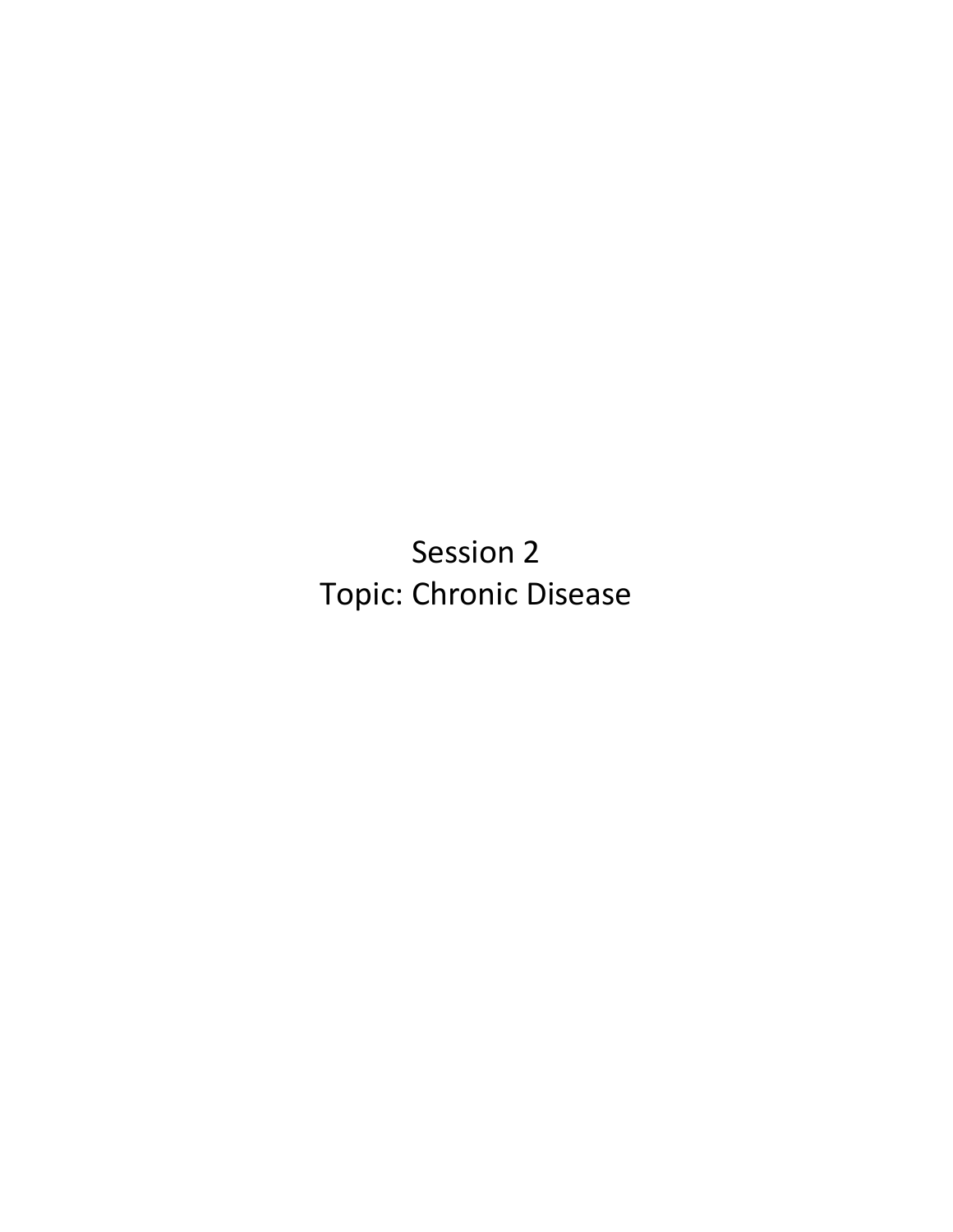Session 2 Topic: Chronic Disease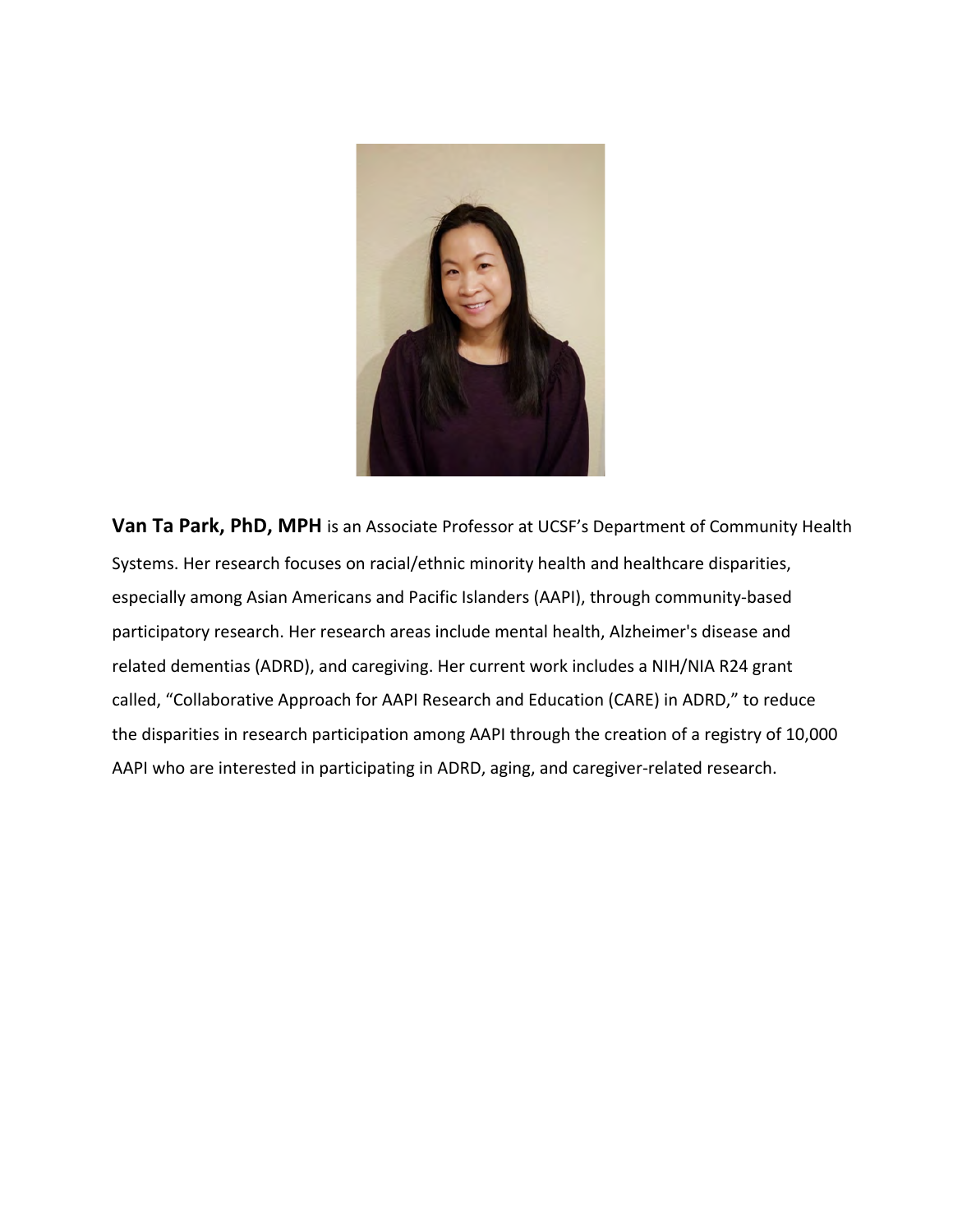

**Van Ta Park, PhD, MPH** is an Associate Professor at UCSF's Department of Community Health Systems. Her research focuses on racial/ethnic minority health and healthcare disparities, especially among Asian Americans and Pacific Islanders (AAPI), through community-based participatory research. Her research areas include mental health, Alzheimer's disease and related dementias (ADRD), and caregiving. Her current work includes a NIH/NIA R24 grant called, "Collaborative Approach for AAPI Research and Education (CARE) in ADRD," to reduce the disparities in research participation among AAPI through the creation of a registry of 10,000 AAPI who are interested in participating in ADRD, aging, and caregiver-related research.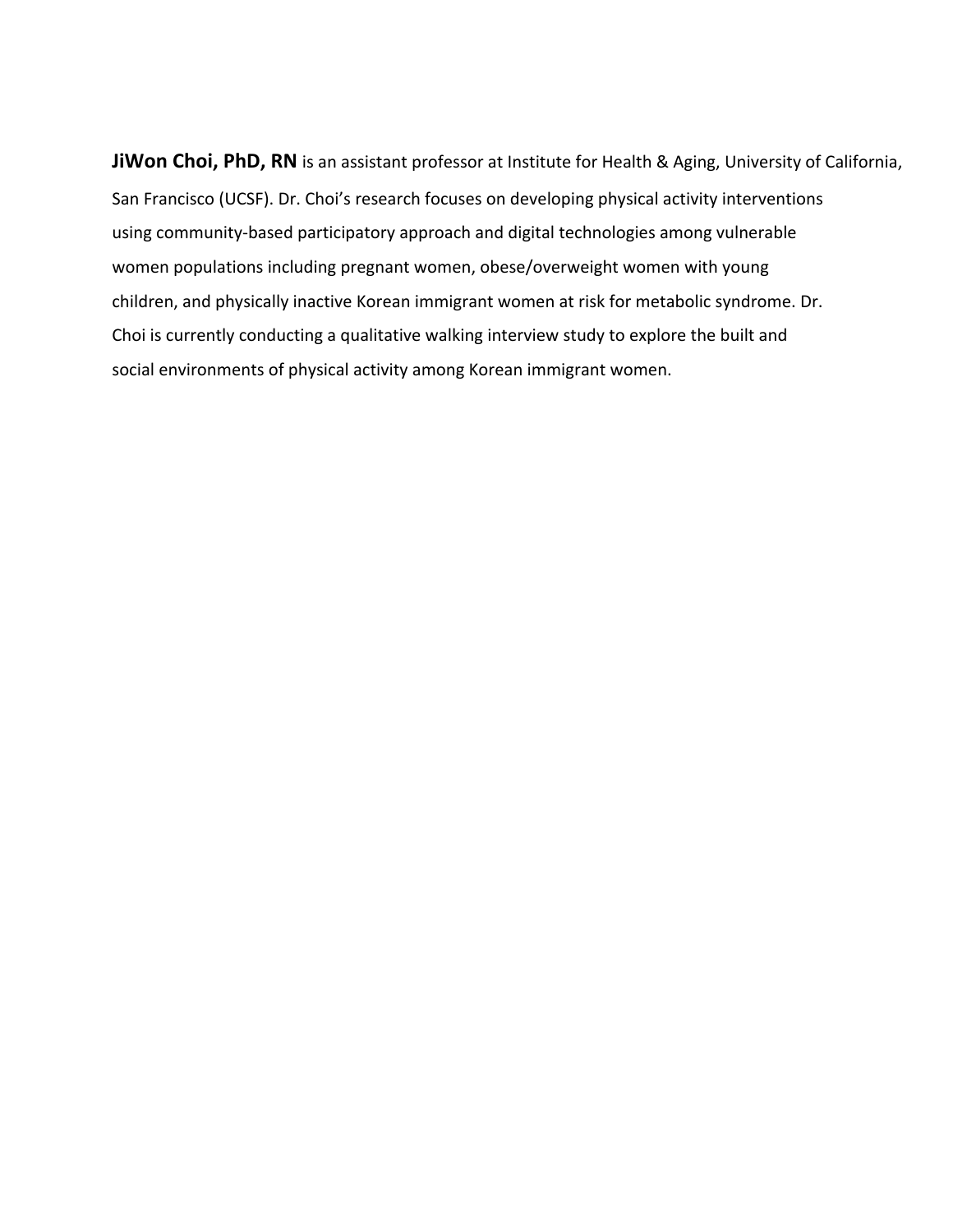**JiWon Choi, PhD, RN** is an assistant professor at Institute for Health & Aging, University of California, San Francisco (UCSF). Dr. Choi's research focuses on developing physical activity interventions using community-based participatory approach and digital technologies among vulnerable women populations including pregnant women, obese/overweight women with young children, and physically inactive Korean immigrant women at risk for metabolic syndrome. Dr. Choi is currently conducting a qualitative walking interview study to explore the built and social environments of physical activity among Korean immigrant women.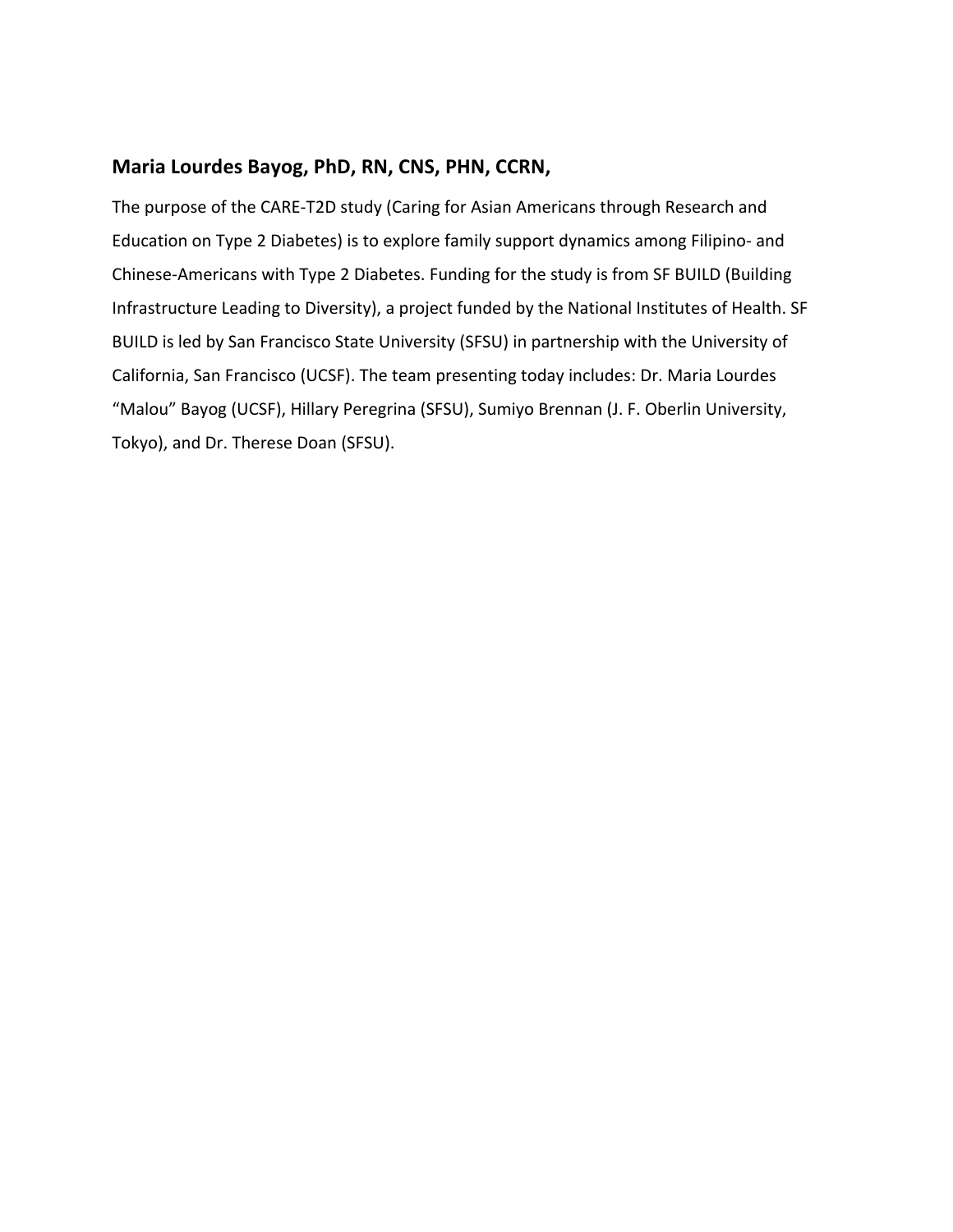### **Maria Lourdes Bayog, PhD, RN, CNS, PHN, CCRN,**

The purpose of the CARE-T2D study (Caring for Asian Americans through Research and Education on Type 2 Diabetes) is to explore family support dynamics among Filipino- and Chinese-Americans with Type 2 Diabetes. Funding for the study is from SF BUILD (Building Infrastructure Leading to Diversity), a project funded by the National Institutes of Health. SF BUILD is led by San Francisco State University (SFSU) in partnership with the University of California, San Francisco (UCSF). The team presenting today includes: Dr. Maria Lourdes "Malou" Bayog (UCSF), Hillary Peregrina (SFSU), Sumiyo Brennan (J. F. Oberlin University, Tokyo), and Dr. Therese Doan (SFSU).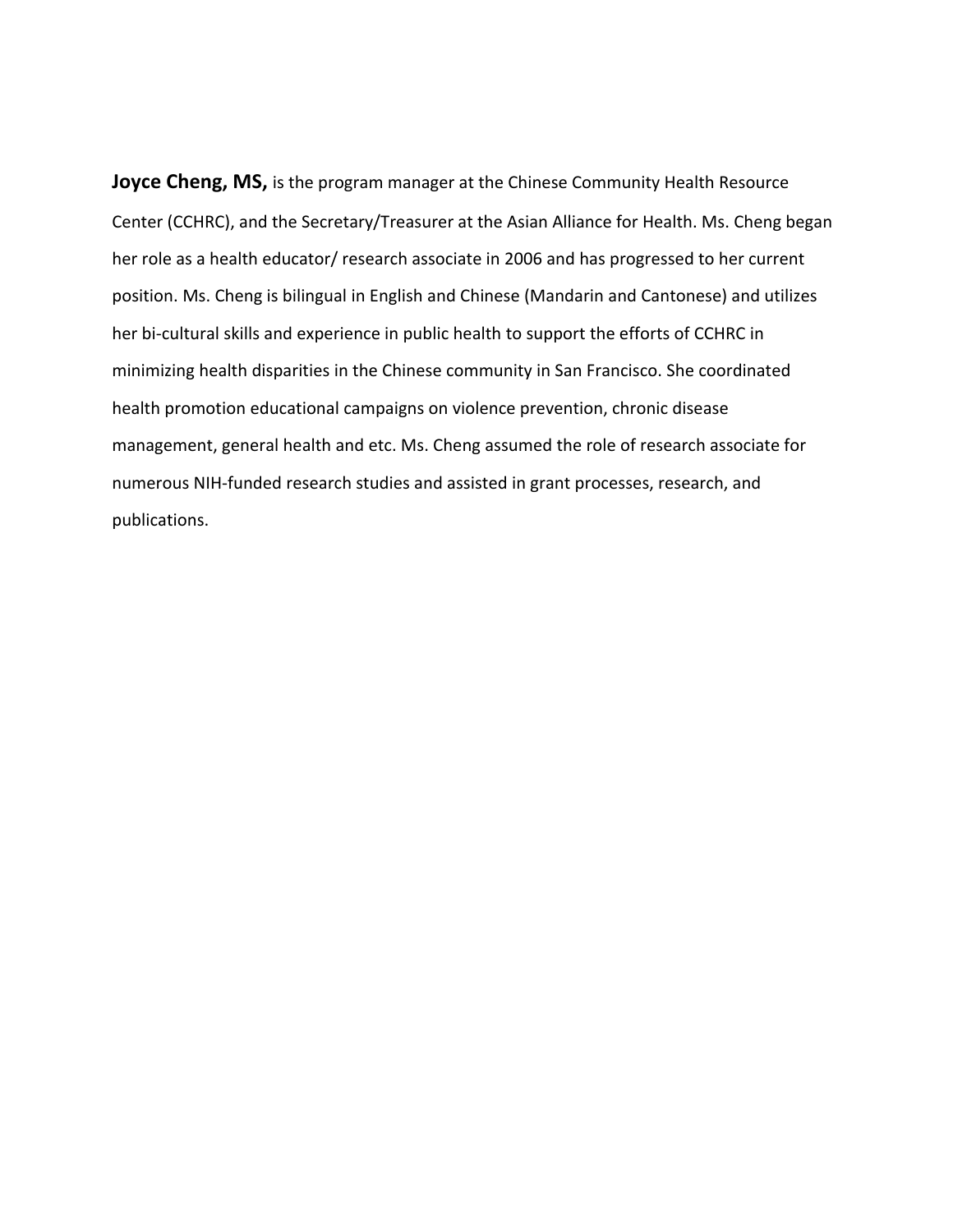**Joyce Cheng, MS,** is the program manager at the Chinese Community Health Resource Center (CCHRC), and the Secretary/Treasurer at the Asian Alliance for Health. Ms. Cheng began her role as a health educator/ research associate in 2006 and has progressed to her current position. Ms. Cheng is bilingual in English and Chinese (Mandarin and Cantonese) and utilizes her bi-cultural skills and experience in public health to support the efforts of CCHRC in minimizing health disparities in the Chinese community in San Francisco. She coordinated health promotion educational campaigns on violence prevention, chronic disease management, general health and etc. Ms. Cheng assumed the role of research associate for numerous NIH-funded research studies and assisted in grant processes, research, and publications.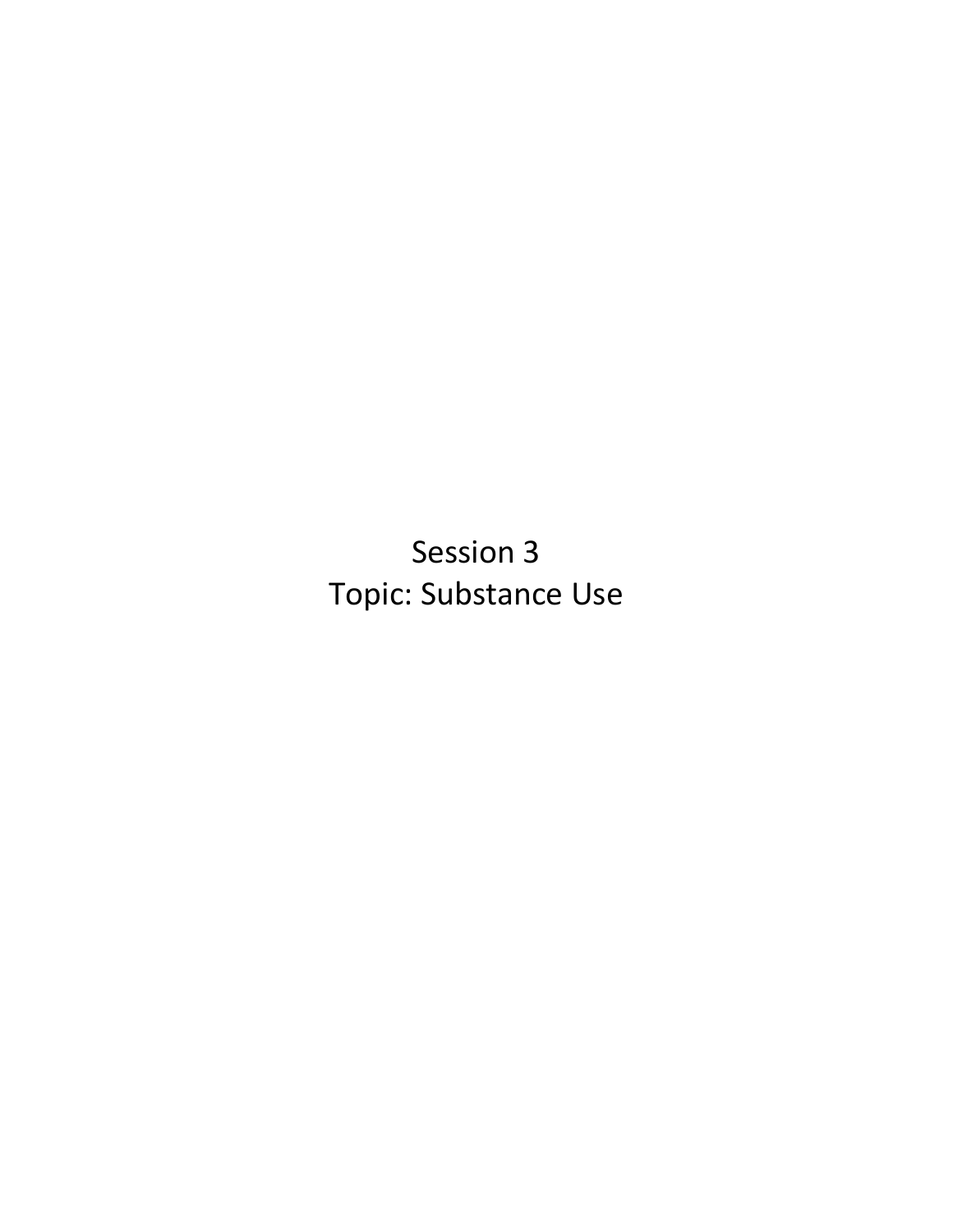Session 3 Topic: Substance Use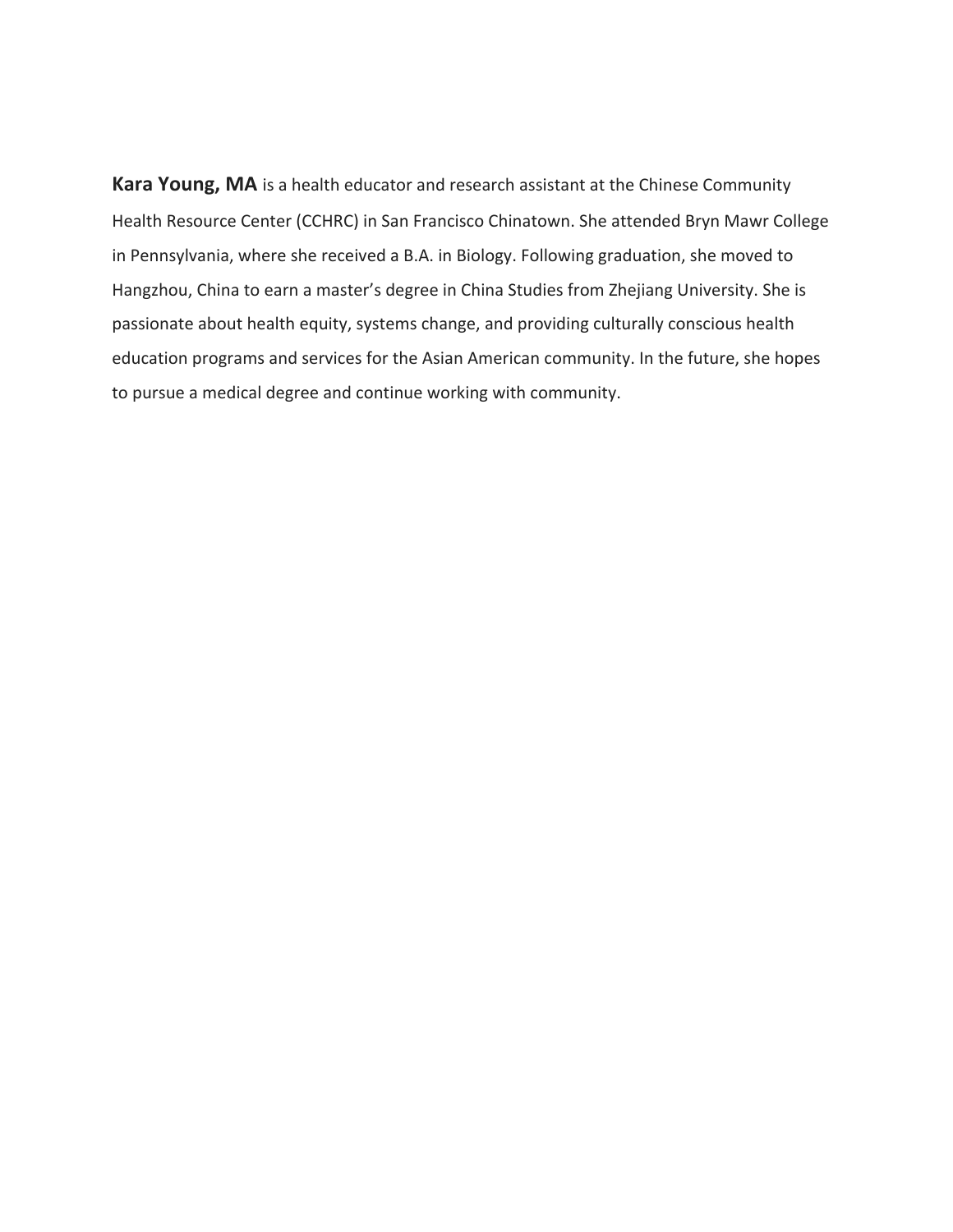**Kara Young, MA** is a health educator and research assistant at the Chinese Community Health Resource Center (CCHRC) in San Francisco Chinatown. She attended Bryn Mawr College in Pennsylvania, where she received a B.A. in Biology. Following graduation, she moved to Hangzhou, China to earn a master's degree in China Studies from Zhejiang University. She is passionate about health equity, systems change, and providing culturally conscious health education programs and services for the Asian American community. In the future, she hopes to pursue a medical degree and continue working with community.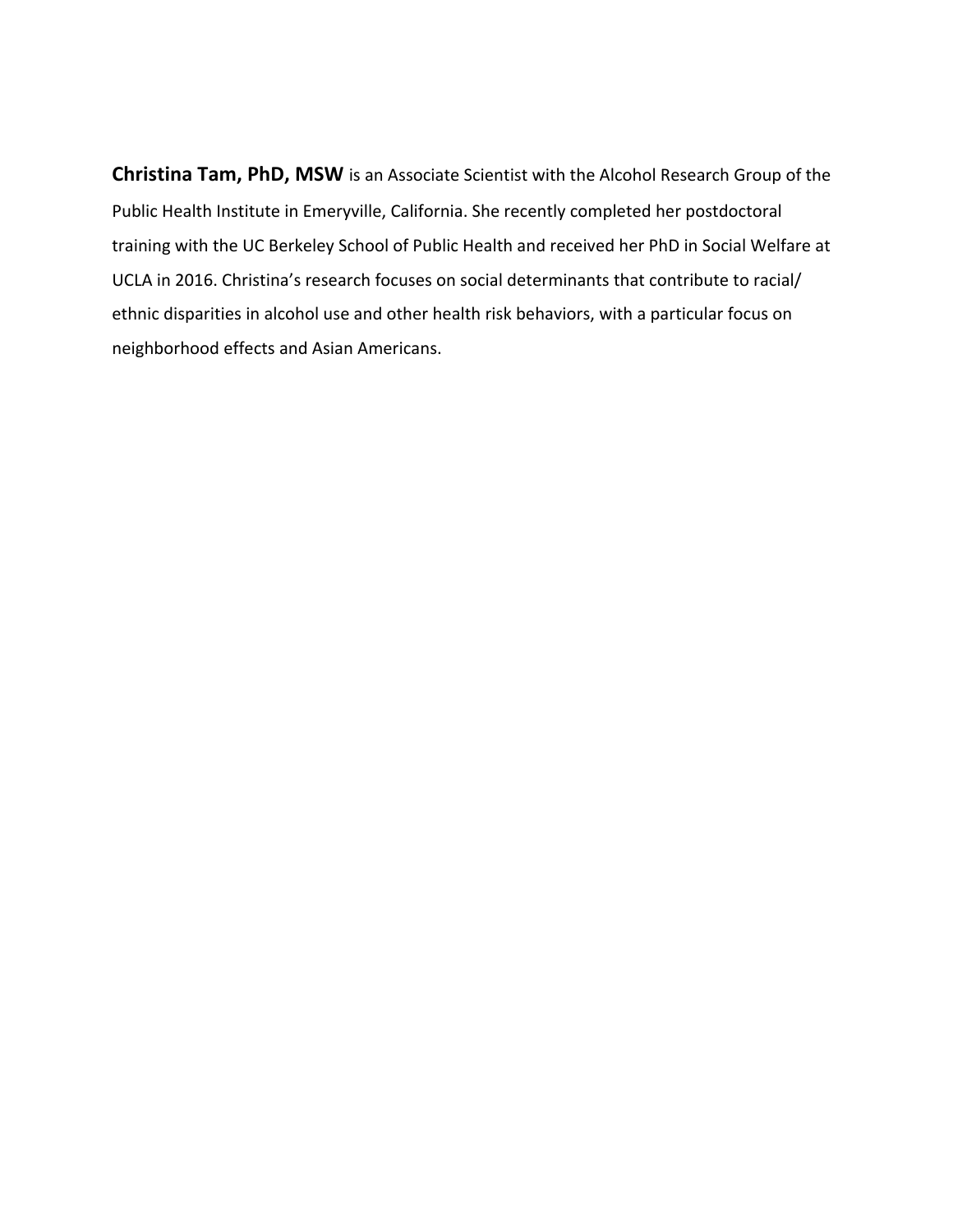**Christina Tam, PhD, MSW** is an Associate Scientist with the Alcohol Research Group of the Public Health Institute in Emeryville, California. She recently completed her postdoctoral training with the UC Berkeley School of Public Health and received her PhD in Social Welfare at UCLA in 2016. Christina's research focuses on social determinants that contribute to racial/ ethnic disparities in alcohol use and other health risk behaviors, with a particular focus on neighborhood effects and Asian Americans.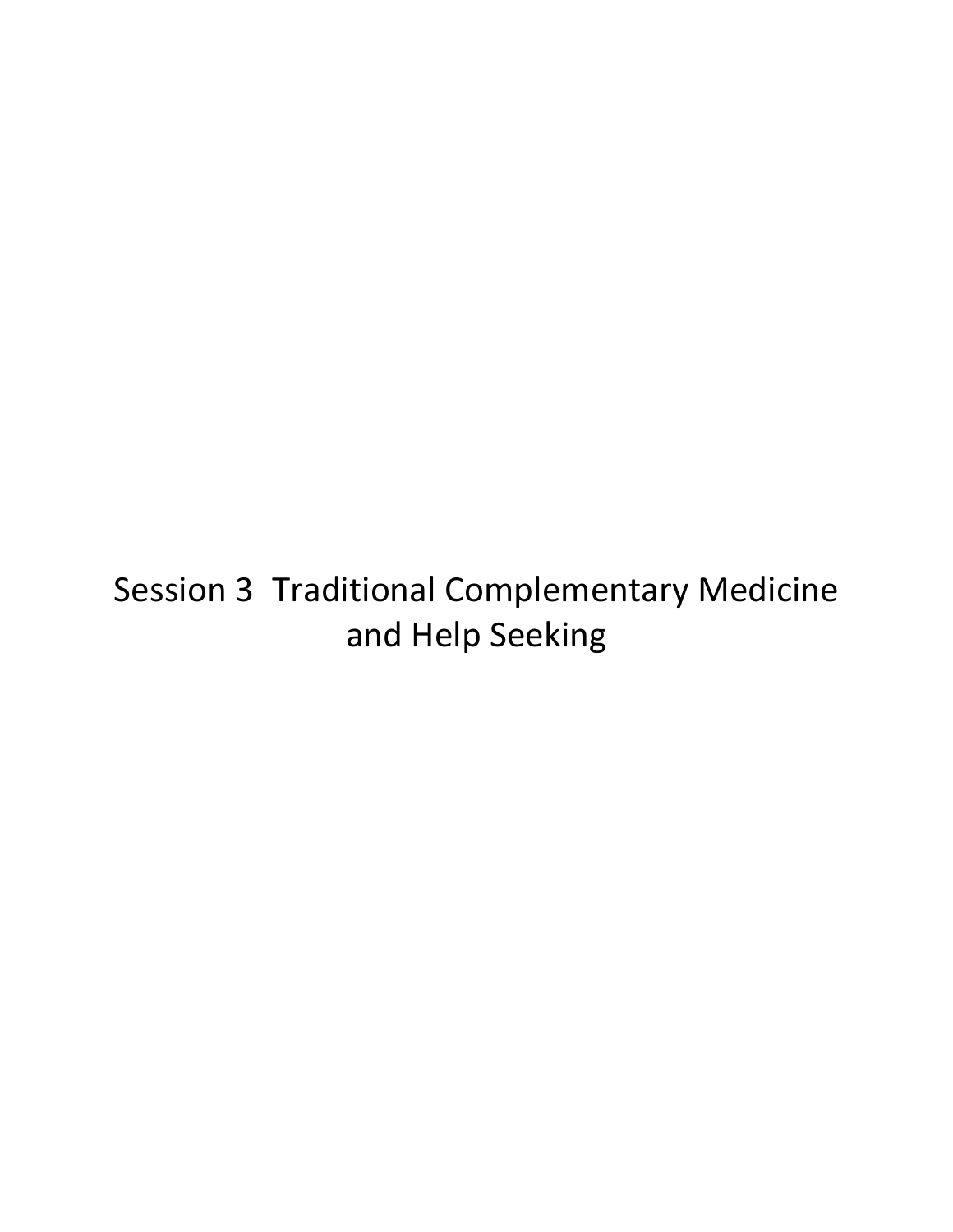# Session 3 Traditional Complementary Medicine and Help Seeking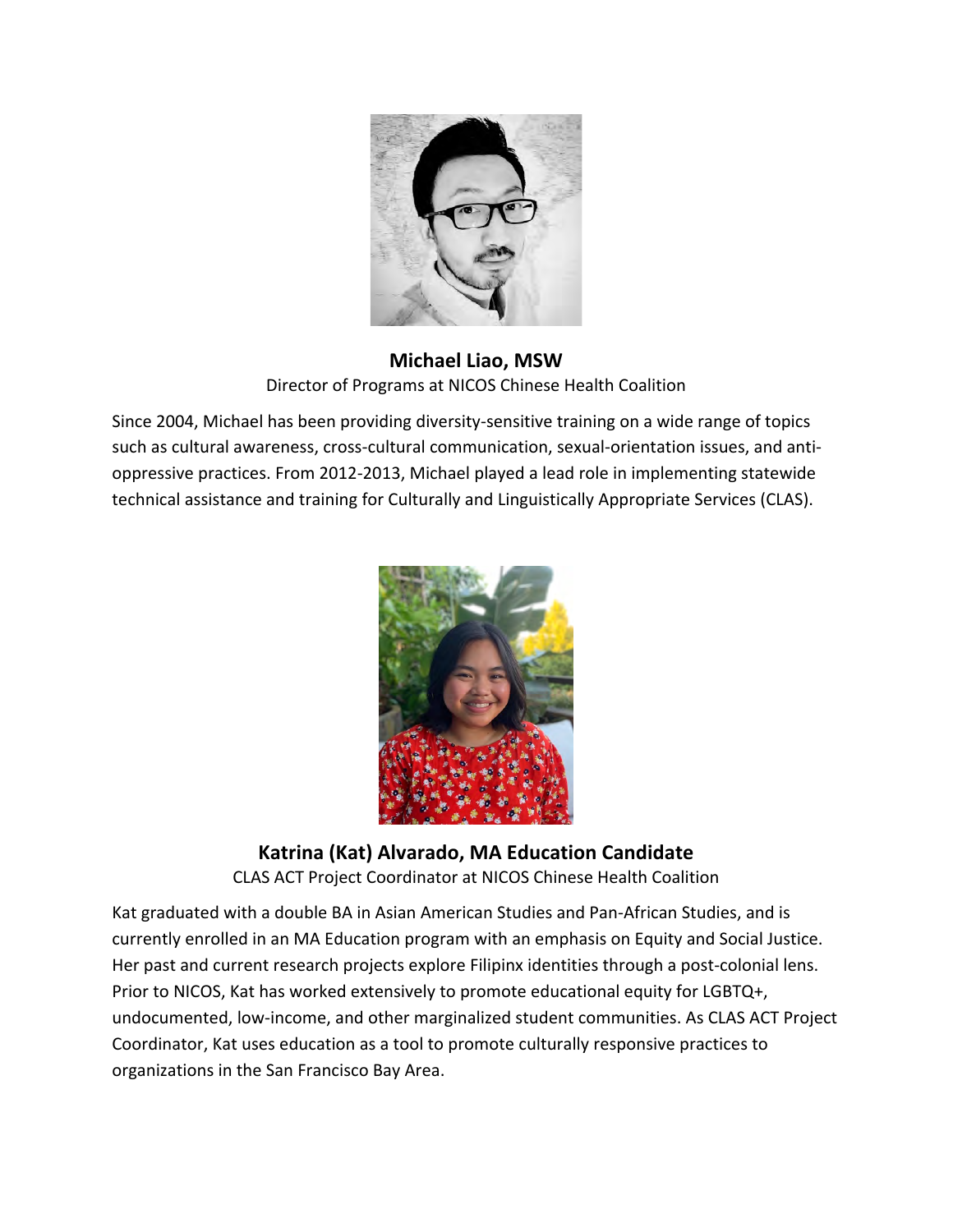

**Michael Liao, MSW** Director of Programs at NICOS Chinese Health Coalition

Since 2004, Michael has been providing diversity-sensitive training on a wide range of topics such as cultural awareness, cross-cultural communication, sexual-orientation issues, and antioppressive practices. From 2012-2013, Michael played a lead role in implementing statewide technical assistance and training for Culturally and Linguistically Appropriate Services (CLAS).



**Katrina (Kat) Alvarado, MA Education Candidate** CLAS ACT Project Coordinator at NICOS Chinese Health Coalition

Kat graduated with a double BA in Asian American Studies and Pan-African Studies, and is currently enrolled in an MA Education program with an emphasis on Equity and Social Justice. Her past and current research projects explore Filipinx identities through a post-colonial lens. Prior to NICOS, Kat has worked extensively to promote educational equity for LGBTQ+, undocumented, low-income, and other marginalized student communities. As CLAS ACT Project Coordinator, Kat uses education as a tool to promote culturally responsive practices to organizations in the San Francisco Bay Area.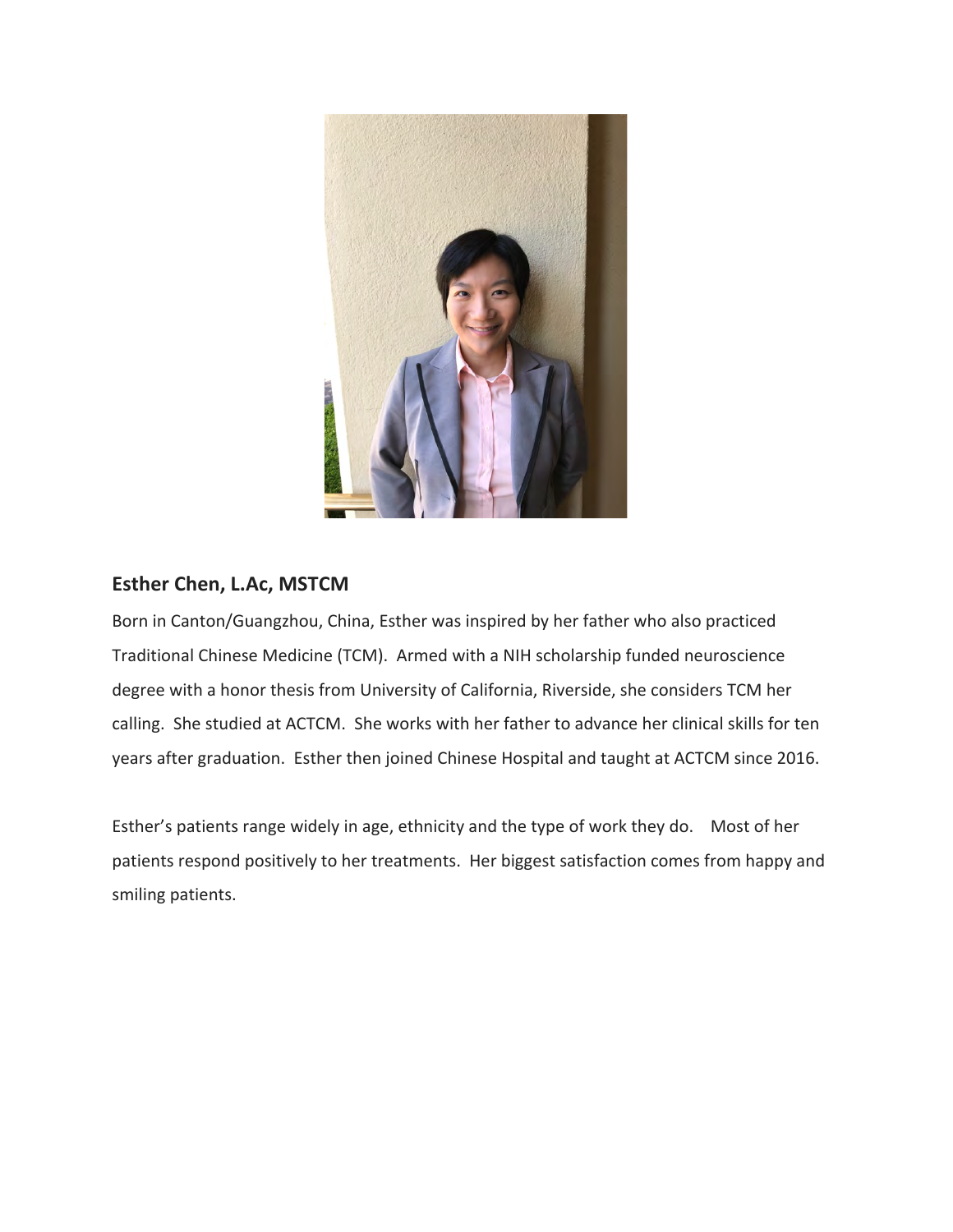

## **Esther Chen, L.Ac, MSTCM**

Born in Canton/Guangzhou, China, Esther was inspired by her father who also practiced Traditional Chinese Medicine (TCM). Armed with a NIH scholarship funded neuroscience degree with a honor thesis from University of California, Riverside, she considers TCM her calling. She studied at ACTCM. She works with her father to advance her clinical skills for ten years after graduation. Esther then joined Chinese Hospital and taught at ACTCM since 2016.

Esther's patients range widely in age, ethnicity and the type of work they do. Most of her patients respond positively to her treatments. Her biggest satisfaction comes from happy and smiling patients.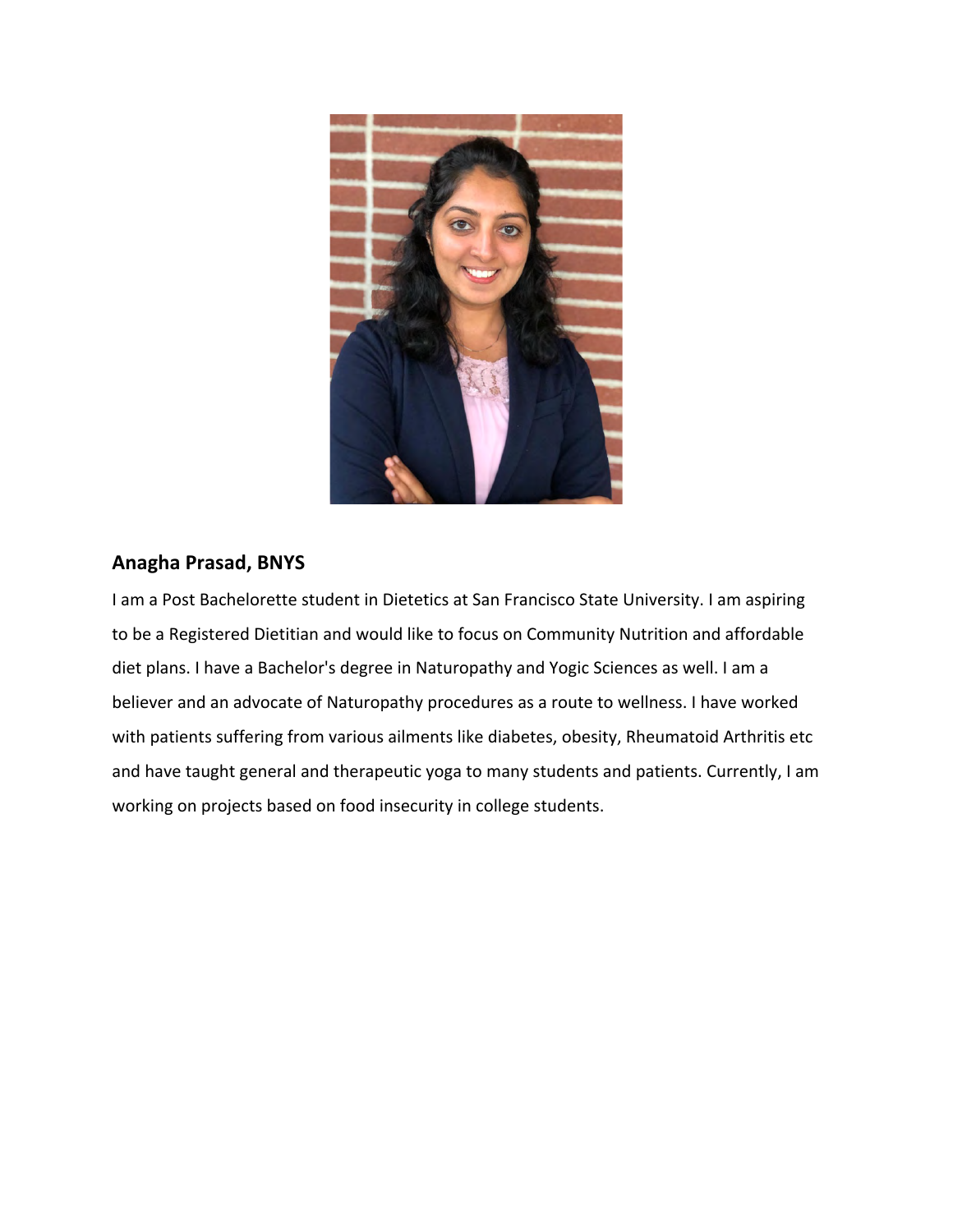

## **Anagha Prasad, BNYS**

I am a Post Bachelorette student in Dietetics at San Francisco State University. I am aspiring to be a Registered Dietitian and would like to focus on Community Nutrition and affordable diet plans. I have a Bachelor's degree in Naturopathy and Yogic Sciences as well. I am a believer and an advocate of Naturopathy procedures as a route to wellness. I have worked with patients suffering from various ailments like diabetes, obesity, Rheumatoid Arthritis etc and have taught general and therapeutic yoga to many students and patients. Currently, I am working on projects based on food insecurity in college students.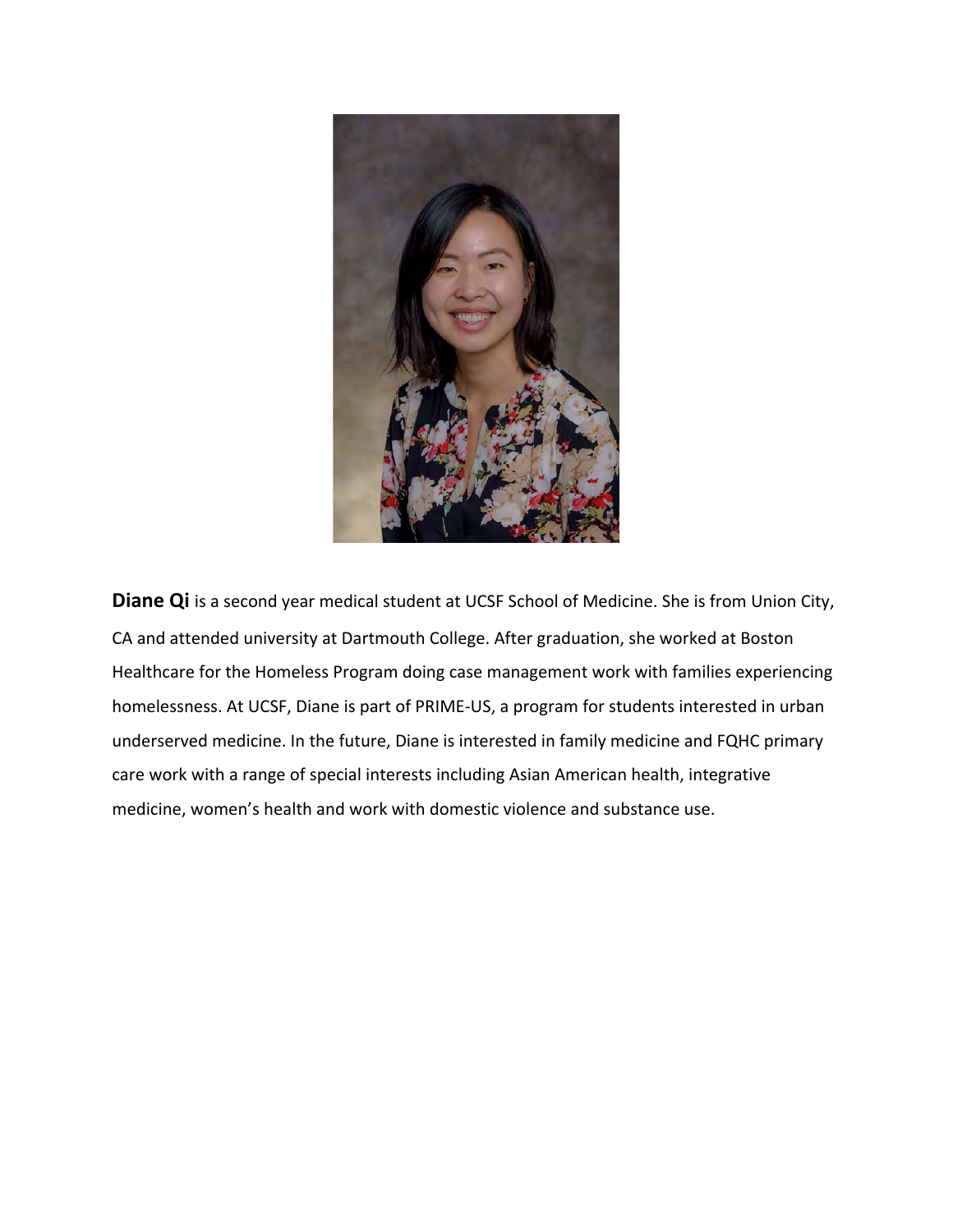

**Diane Qi** is a second year medical student at UCSF School of Medicine. She is from Union City, CA and attended university at Dartmouth College. After graduation, she worked at Boston Healthcare for the Homeless Program doing case management work with families experiencing homelessness. At UCSF, Diane is part of PRIME-US, a program for students interested in urban underserved medicine. In the future, Diane is interested in family medicine and FQHC primary care work with a range of special interests including Asian American health, integrative medicine, women's health and work with domestic violence and substance use.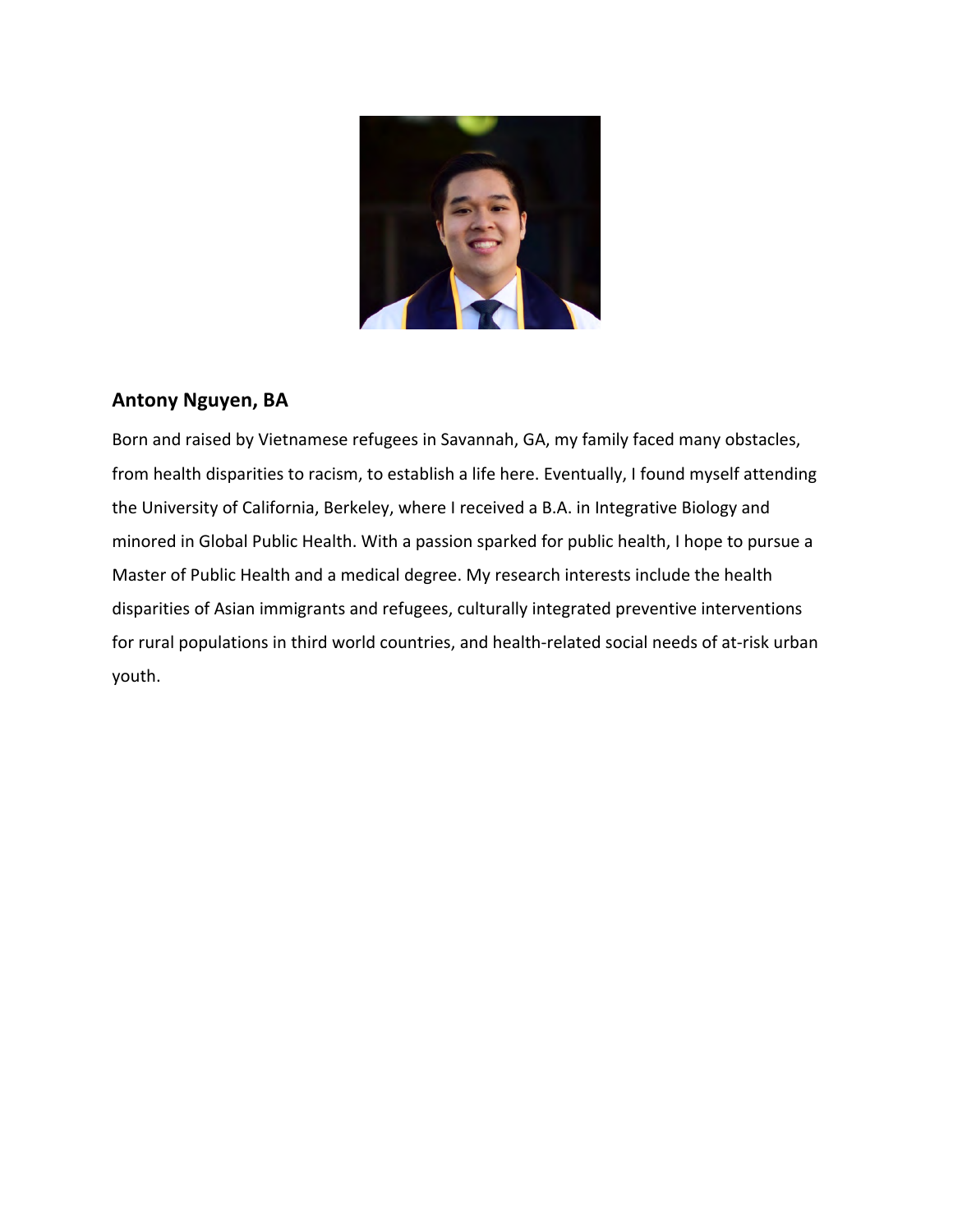

### **Antony Nguyen, BA**

Born and raised by Vietnamese refugees in Savannah, GA, my family faced many obstacles, from health disparities to racism, to establish a life here. Eventually, I found myself attending the University of California, Berkeley, where I received a B.A. in Integrative Biology and minored in Global Public Health. With a passion sparked for public health, I hope to pursue a Master of Public Health and a medical degree. My research interests include the health disparities of Asian immigrants and refugees, culturally integrated preventive interventions for rural populations in third world countries, and health-related social needs of at-risk urban youth.